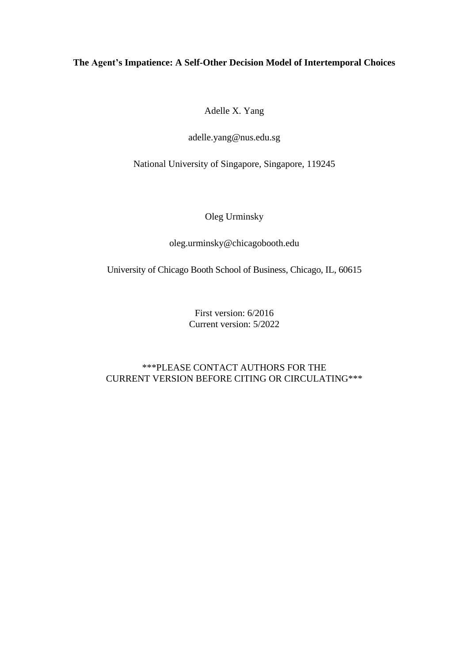# **The Agent's Impatience: A Self-Other Decision Model of Intertemporal Choices**

Adelle X. Yang

adelle.yang@nus.edu.sg

National University of Singapore, Singapore, 119245

Oleg Urminsky

oleg.urminsky@chicagobooth.edu

University of Chicago Booth School of Business, Chicago, IL, 60615

First version: 6/2016 Current version: 5/2022

\*\*\*PLEASE CONTACT AUTHORS FOR THE CURRENT VERSION BEFORE CITING OR CIRCULATING\*\*\*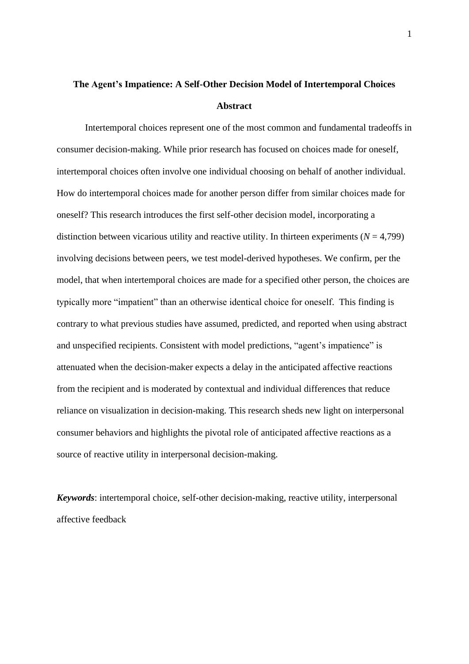# **The Agent's Impatience: A Self-Other Decision Model of Intertemporal Choices Abstract**

Intertemporal choices represent one of the most common and fundamental tradeoffs in consumer decision-making. While prior research has focused on choices made for oneself, intertemporal choices often involve one individual choosing on behalf of another individual. How do intertemporal choices made for another person differ from similar choices made for oneself? This research introduces the first self-other decision model, incorporating a distinction between vicarious utility and reactive utility. In thirteen experiments  $(N = 4,799)$ involving decisions between peers, we test model-derived hypotheses. We confirm, per the model, that when intertemporal choices are made for a specified other person, the choices are typically more "impatient" than an otherwise identical choice for oneself. This finding is contrary to what previous studies have assumed, predicted, and reported when using abstract and unspecified recipients. Consistent with model predictions, "agent's impatience" is attenuated when the decision-maker expects a delay in the anticipated affective reactions from the recipient and is moderated by contextual and individual differences that reduce reliance on visualization in decision-making. This research sheds new light on interpersonal consumer behaviors and highlights the pivotal role of anticipated affective reactions as a source of reactive utility in interpersonal decision-making.

*Keywords*: intertemporal choice, self-other decision-making, reactive utility, interpersonal affective feedback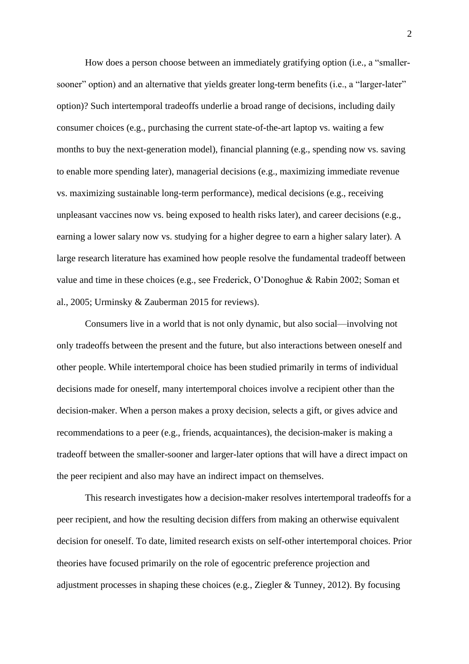How does a person choose between an immediately gratifying option (i.e., a "smallersooner" option) and an alternative that yields greater long-term benefits (i.e., a "larger-later" option)? Such intertemporal tradeoffs underlie a broad range of decisions, including daily consumer choices (e.g., purchasing the current state-of-the-art laptop vs. waiting a few months to buy the next-generation model), financial planning (e.g., spending now vs. saving to enable more spending later), managerial decisions (e.g., maximizing immediate revenue vs. maximizing sustainable long-term performance), medical decisions (e.g., receiving unpleasant vaccines now vs. being exposed to health risks later), and career decisions (e.g., earning a lower salary now vs. studying for a higher degree to earn a higher salary later). A large research literature has examined how people resolve the fundamental tradeoff between value and time in these choices (e.g., see Frederick, O'Donoghue & Rabin 2002; Soman et al., 2005; Urminsky & Zauberman 2015 for reviews).

Consumers live in a world that is not only dynamic, but also social—involving not only tradeoffs between the present and the future, but also interactions between oneself and other people. While intertemporal choice has been studied primarily in terms of individual decisions made for oneself, many intertemporal choices involve a recipient other than the decision-maker. When a person makes a proxy decision, selects a gift, or gives advice and recommendations to a peer (e.g., friends, acquaintances), the decision-maker is making a tradeoff between the smaller-sooner and larger-later options that will have a direct impact on the peer recipient and also may have an indirect impact on themselves.

This research investigates how a decision-maker resolves intertemporal tradeoffs for a peer recipient, and how the resulting decision differs from making an otherwise equivalent decision for oneself. To date, limited research exists on self-other intertemporal choices. Prior theories have focused primarily on the role of egocentric preference projection and adjustment processes in shaping these choices (e.g., Ziegler & Tunney, 2012). By focusing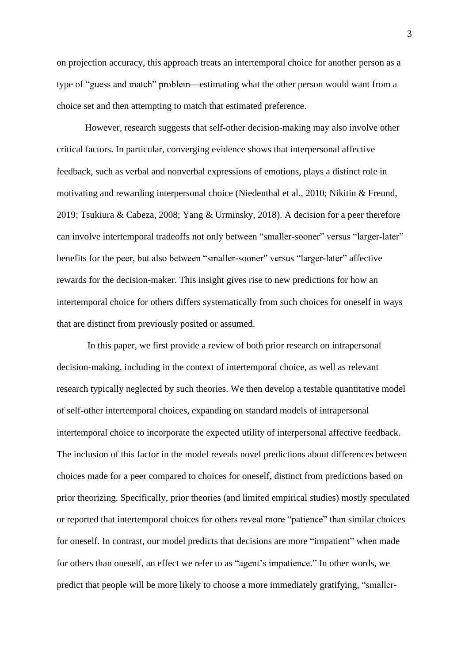on projection accuracy, this approach treats an intertemporal choice for another person as a type of "guess and match" problem—estimating what the other person would want from a choice set and then attempting to match that estimated preference.

However, research suggests that self-other decision-making may also involve other critical factors. In particular, converging evidence shows that interpersonal affective feedback, such as verbal and nonverbal expressions of emotions, plays a distinct role in motivating and rewarding interpersonal choice (Niedenthal et al., 2010; Nikitin & Freund, 2019; Tsukiura & Cabeza, 2008; Yang & Urminsky, 2018). A decision for a peer therefore can involve intertemporal tradeoffs not only between "smaller-sooner" versus "larger-later" benefits for the peer, but also between "smaller-sooner" versus "larger-later" affective rewards for the decision-maker. This insight gives rise to new predictions for how an intertemporal choice for others differs systematically from such choices for oneself in ways that are distinct from previously posited or assumed.

In this paper, we first provide a review of both prior research on intrapersonal decision-making, including in the context of intertemporal choice, as well as relevant research typically neglected by such theories. We then develop a testable quantitative model of self-other intertemporal choices, expanding on standard models of intrapersonal intertemporal choice to incorporate the expected utility of interpersonal affective feedback. The inclusion of this factor in the model reveals novel predictions about differences between choices made for a peer compared to choices for oneself, distinct from predictions based on prior theorizing. Specifically, prior theories (and limited empirical studies) mostly speculated or reported that intertemporal choices for others reveal more "patience" than similar choices for oneself. In contrast, our model predicts that decisions are more "impatient" when made for others than oneself, an effect we refer to as "agent's impatience." In other words, we predict that people will be more likely to choose a more immediately gratifying, "smaller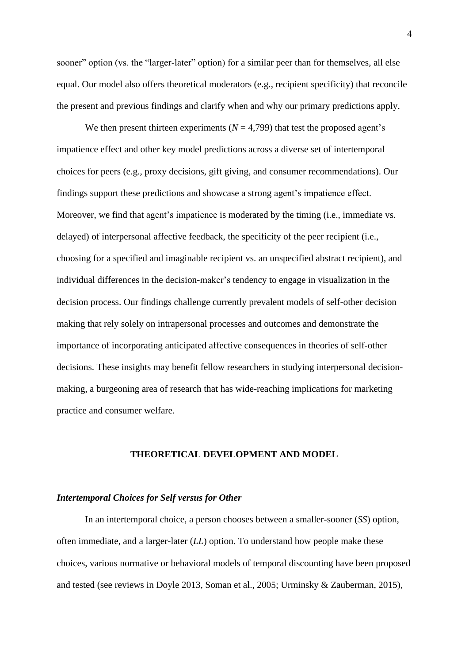sooner" option (vs. the "larger-later" option) for a similar peer than for themselves, all else equal. Our model also offers theoretical moderators (e.g., recipient specificity) that reconcile the present and previous findings and clarify when and why our primary predictions apply.

We then present thirteen experiments ( $N = 4,799$ ) that test the proposed agent's impatience effect and other key model predictions across a diverse set of intertemporal choices for peers (e.g., proxy decisions, gift giving, and consumer recommendations). Our findings support these predictions and showcase a strong agent's impatience effect. Moreover, we find that agent's impatience is moderated by the timing (i.e., immediate vs. delayed) of interpersonal affective feedback, the specificity of the peer recipient (i.e., choosing for a specified and imaginable recipient vs. an unspecified abstract recipient), and individual differences in the decision-maker's tendency to engage in visualization in the decision process. Our findings challenge currently prevalent models of self-other decision making that rely solely on intrapersonal processes and outcomes and demonstrate the importance of incorporating anticipated affective consequences in theories of self-other decisions. These insights may benefit fellow researchers in studying interpersonal decisionmaking, a burgeoning area of research that has wide-reaching implications for marketing practice and consumer welfare.

# **THEORETICAL DEVELOPMENT AND MODEL**

#### *Intertemporal Choices for Self versus for Other*

In an intertemporal choice, a person chooses between a smaller-sooner (*SS*) option, often immediate, and a larger-later (*LL*) option. To understand how people make these choices, various normative or behavioral models of temporal discounting have been proposed and tested (see reviews in Doyle 2013, Soman et al., 2005; Urminsky & Zauberman, 2015),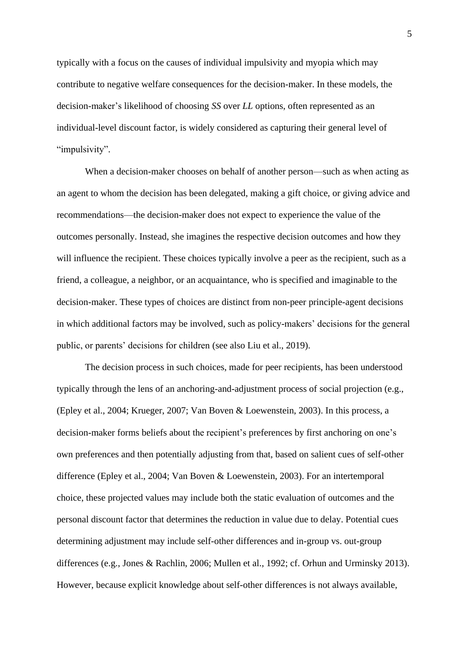typically with a focus on the causes of individual impulsivity and myopia which may contribute to negative welfare consequences for the decision-maker. In these models, the decision-maker's likelihood of choosing *SS* over *LL* options, often represented as an individual-level discount factor, is widely considered as capturing their general level of "impulsivity".

When a decision-maker chooses on behalf of another person—such as when acting as an agent to whom the decision has been delegated, making a gift choice, or giving advice and recommendations—the decision-maker does not expect to experience the value of the outcomes personally. Instead, she imagines the respective decision outcomes and how they will influence the recipient. These choices typically involve a peer as the recipient, such as a friend, a colleague, a neighbor, or an acquaintance, who is specified and imaginable to the decision-maker. These types of choices are distinct from non-peer principle-agent decisions in which additional factors may be involved, such as policy-makers' decisions for the general public, or parents' decisions for children (see also Liu et al., 2019).

The decision process in such choices, made for peer recipients, has been understood typically through the lens of an anchoring-and-adjustment process of social projection (e.g., (Epley et al., 2004; Krueger, 2007; Van Boven & Loewenstein, 2003). In this process, a decision-maker forms beliefs about the recipient's preferences by first anchoring on one's own preferences and then potentially adjusting from that, based on salient cues of self-other difference (Epley et al., 2004; Van Boven & Loewenstein, 2003). For an intertemporal choice, these projected values may include both the static evaluation of outcomes and the personal discount factor that determines the reduction in value due to delay. Potential cues determining adjustment may include self-other differences and in-group vs. out-group differences (e.g., Jones & Rachlin, 2006; Mullen et al., 1992; cf. Orhun and Urminsky 2013). However, because explicit knowledge about self-other differences is not always available,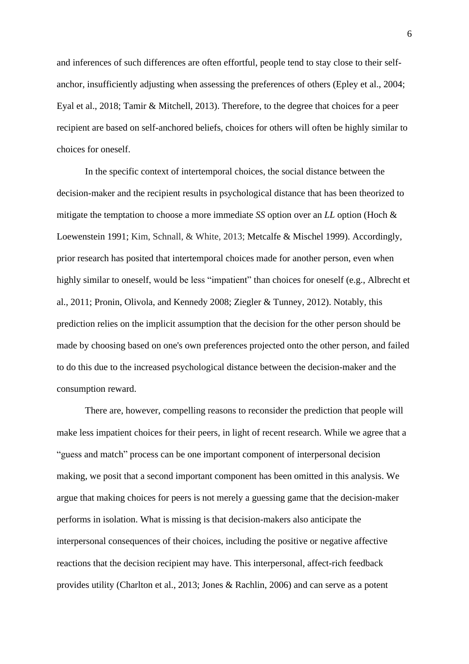and inferences of such differences are often effortful, people tend to stay close to their selfanchor, insufficiently adjusting when assessing the preferences of others (Epley et al., 2004; Eyal et al., 2018; Tamir & Mitchell, 2013). Therefore, to the degree that choices for a peer recipient are based on self-anchored beliefs, choices for others will often be highly similar to choices for oneself.

In the specific context of intertemporal choices, the social distance between the decision-maker and the recipient results in psychological distance that has been theorized to mitigate the temptation to choose a more immediate *SS* option over an *LL* option (Hoch & Loewenstein 1991; Kim, Schnall, & White, 2013; Metcalfe & Mischel 1999). Accordingly, prior research has posited that intertemporal choices made for another person, even when highly similar to oneself, would be less "impatient" than choices for oneself (e.g., Albrecht et al., 2011; Pronin, Olivola, and Kennedy 2008; Ziegler & Tunney, 2012). Notably, this prediction relies on the implicit assumption that the decision for the other person should be made by choosing based on one's own preferences projected onto the other person, and failed to do this due to the increased psychological distance between the decision-maker and the consumption reward.

There are, however, compelling reasons to reconsider the prediction that people will make less impatient choices for their peers, in light of recent research. While we agree that a "guess and match" process can be one important component of interpersonal decision making, we posit that a second important component has been omitted in this analysis. We argue that making choices for peers is not merely a guessing game that the decision-maker performs in isolation. What is missing is that decision-makers also anticipate the interpersonal consequences of their choices, including the positive or negative affective reactions that the decision recipient may have. This interpersonal, affect-rich feedback provides utility (Charlton et al., 2013; Jones & Rachlin, 2006) and can serve as a potent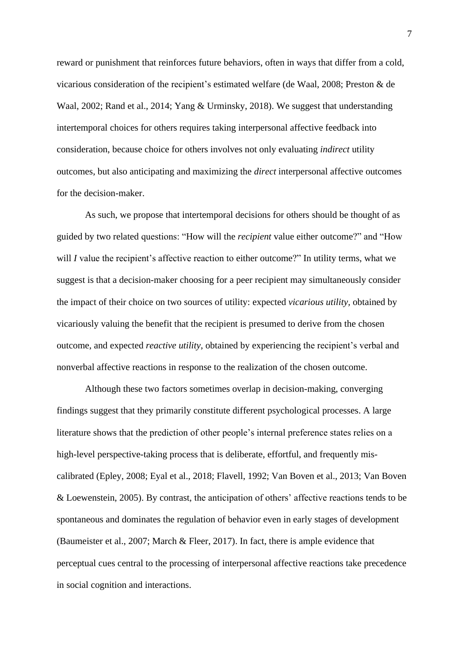reward or punishment that reinforces future behaviors, often in ways that differ from a cold, vicarious consideration of the recipient's estimated welfare (de Waal, 2008; Preston & de Waal, 2002; Rand et al., 2014; Yang & Urminsky, 2018). We suggest that understanding intertemporal choices for others requires taking interpersonal affective feedback into consideration, because choice for others involves not only evaluating *indirect* utility outcomes, but also anticipating and maximizing the *direct* interpersonal affective outcomes for the decision-maker.

As such, we propose that intertemporal decisions for others should be thought of as guided by two related questions: "How will the *recipient* value either outcome?" and "How will *I* value the recipient's affective reaction to either outcome?" In utility terms, what we suggest is that a decision-maker choosing for a peer recipient may simultaneously consider the impact of their choice on two sources of utility: expected *vicarious utility,* obtained by vicariously valuing the benefit that the recipient is presumed to derive from the chosen outcome, and expected *reactive utility*, obtained by experiencing the recipient's verbal and nonverbal affective reactions in response to the realization of the chosen outcome.

Although these two factors sometimes overlap in decision-making, converging findings suggest that they primarily constitute different psychological processes. A large literature shows that the prediction of other people's internal preference states relies on a high-level perspective-taking process that is deliberate, effortful, and frequently miscalibrated (Epley, 2008; Eyal et al., 2018; Flavell, 1992; Van Boven et al., 2013; Van Boven & Loewenstein, 2005). By contrast, the anticipation of others' affective reactions tends to be spontaneous and dominates the regulation of behavior even in early stages of development (Baumeister et al., 2007; March & Fleer, 2017). In fact, there is ample evidence that perceptual cues central to the processing of interpersonal affective reactions take precedence in social cognition and interactions.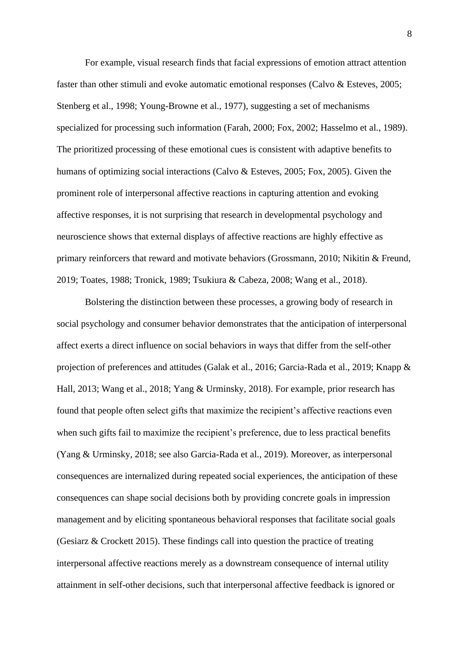For example, visual research finds that facial expressions of emotion attract attention faster than other stimuli and evoke automatic emotional responses (Calvo & Esteves, 2005; Stenberg et al., 1998; Young-Browne et al., 1977), suggesting a set of mechanisms specialized for processing such information (Farah, 2000; Fox, 2002; Hasselmo et al., 1989). The prioritized processing of these emotional cues is consistent with adaptive benefits to humans of optimizing social interactions (Calvo & Esteves, 2005; Fox, 2005). Given the prominent role of interpersonal affective reactions in capturing attention and evoking affective responses, it is not surprising that research in developmental psychology and neuroscience shows that external displays of affective reactions are highly effective as primary reinforcers that reward and motivate behaviors (Grossmann, 2010; Nikitin & Freund, 2019; Toates, 1988; Tronick, 1989; Tsukiura & Cabeza, 2008; Wang et al., 2018).

Bolstering the distinction between these processes, a growing body of research in social psychology and consumer behavior demonstrates that the anticipation of interpersonal affect exerts a direct influence on social behaviors in ways that differ from the self-other projection of preferences and attitudes (Galak et al., 2016; Garcia-Rada et al., 2019; Knapp & Hall, 2013; Wang et al., 2018; Yang & Urminsky, 2018). For example, prior research has found that people often select gifts that maximize the recipient's affective reactions even when such gifts fail to maximize the recipient's preference, due to less practical benefits (Yang & Urminsky, 2018; see also Garcia-Rada et al., 2019). Moreover, as interpersonal consequences are internalized during repeated social experiences, the anticipation of these consequences can shape social decisions both by providing concrete goals in impression management and by eliciting spontaneous behavioral responses that facilitate social goals (Gesiarz & Crockett 2015). These findings call into question the practice of treating interpersonal affective reactions merely as a downstream consequence of internal utility attainment in self-other decisions, such that interpersonal affective feedback is ignored or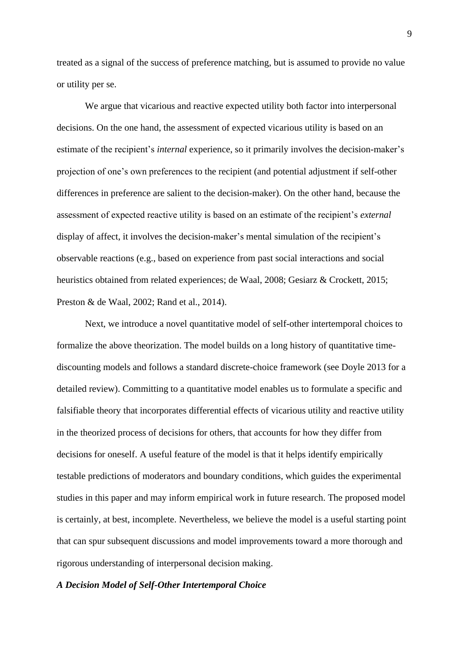treated as a signal of the success of preference matching, but is assumed to provide no value or utility per se.

We argue that vicarious and reactive expected utility both factor into interpersonal decisions. On the one hand, the assessment of expected vicarious utility is based on an estimate of the recipient's *internal* experience, so it primarily involves the decision-maker's projection of one's own preferences to the recipient (and potential adjustment if self-other differences in preference are salient to the decision-maker). On the other hand, because the assessment of expected reactive utility is based on an estimate of the recipient's *external* display of affect, it involves the decision-maker's mental simulation of the recipient's observable reactions (e.g., based on experience from past social interactions and social heuristics obtained from related experiences; de Waal, 2008; Gesiarz & Crockett, 2015; Preston & de Waal, 2002; Rand et al., 2014).

Next, we introduce a novel quantitative model of self-other intertemporal choices to formalize the above theorization. The model builds on a long history of quantitative timediscounting models and follows a standard discrete-choice framework (see Doyle 2013 for a detailed review). Committing to a quantitative model enables us to formulate a specific and falsifiable theory that incorporates differential effects of vicarious utility and reactive utility in the theorized process of decisions for others, that accounts for how they differ from decisions for oneself. A useful feature of the model is that it helps identify empirically testable predictions of moderators and boundary conditions, which guides the experimental studies in this paper and may inform empirical work in future research. The proposed model is certainly, at best, incomplete. Nevertheless, we believe the model is a useful starting point that can spur subsequent discussions and model improvements toward a more thorough and rigorous understanding of interpersonal decision making.

#### *A Decision Model of Self-Other Intertemporal Choice*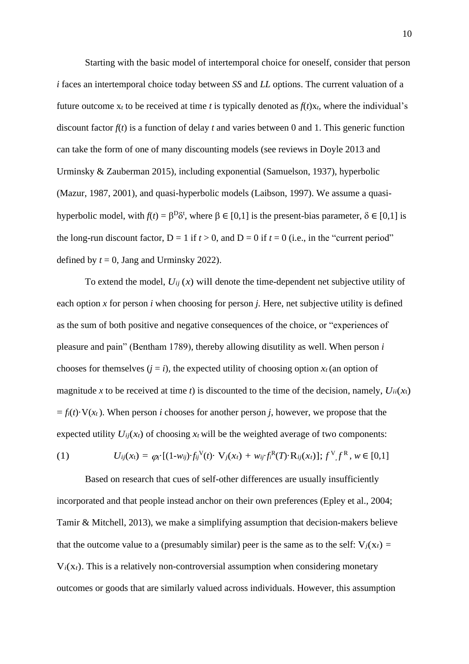Starting with the basic model of intertemporal choice for oneself, consider that person *i* faces an intertemporal choice today between *SS* and *LL* options. The current valuation of a future outcome  $x_t$  to be received at time *t* is typically denoted as  $f(t)x_t$ , where the individual's discount factor *f*(*t*) is a function of delay *t* and varies between 0 and 1. This generic function can take the form of one of many discounting models (see reviews in Doyle 2013 and Urminsky & Zauberman 2015), including exponential (Samuelson, 1937), hyperbolic (Mazur, 1987, 2001), and quasi-hyperbolic models (Laibson, 1997). We assume a quasihyperbolic model, with  $f(t) = \beta^D \delta^t$ , where  $\beta \in [0,1]$  is the present-bias parameter,  $\delta \in [0,1]$  is the long-run discount factor,  $D = 1$  if  $t > 0$ , and  $D = 0$  if  $t = 0$  (i.e., in the "current period" defined by  $t = 0$ , Jang and Urminsky 2022).

To extend the model,  $U_{ij}(x)$  will denote the time-dependent net subjective utility of each option *x* for person *i* when choosing for person *j.* Here, net subjective utility is defined as the sum of both positive and negative consequences of the choice, or "experiences of pleasure and pain" (Bentham 1789), thereby allowing disutility as well. When person *i*  chooses for themselves  $(i = i)$ , the expected utility of choosing option  $x_t$  (an option of magnitude *x* to be received at time *t*) is discounted to the time of the decision, namely,  $U_{ii}(x_t)$  $= f_i(t) \cdot V(x_t)$ . When person *i* chooses for another person *j*, however, we propose that the expected utility  $U_{ij}(x_t)$  of choosing  $x_t$  will be the weighted average of two components:

(1) 
$$
U_{ij}(x_t) = \varphi_{i} \left[ (1-w_{ij}) \cdot f_{ij}^{\mathcal{V}}(t) \cdot \mathbf{V}_{j}(x_t) + w_{ij} \cdot f_{i}^{\mathcal{R}}(T) \cdot \mathbf{R}_{ij}(x_t) \right]; f^{\mathcal{V}} f^{\mathcal{R}}, w \in [0,1]
$$

Based on research that cues of self-other differences are usually insufficiently incorporated and that people instead anchor on their own preferences (Epley et al., 2004; Tamir & Mitchell, 2013), we make a simplifying assumption that decision-makers believe that the outcome value to a (presumably similar) peer is the same as to the self:  $V_i(x_t)$  =  $V_i(x_t)$ . This is a relatively non-controversial assumption when considering monetary outcomes or goods that are similarly valued across individuals. However, this assumption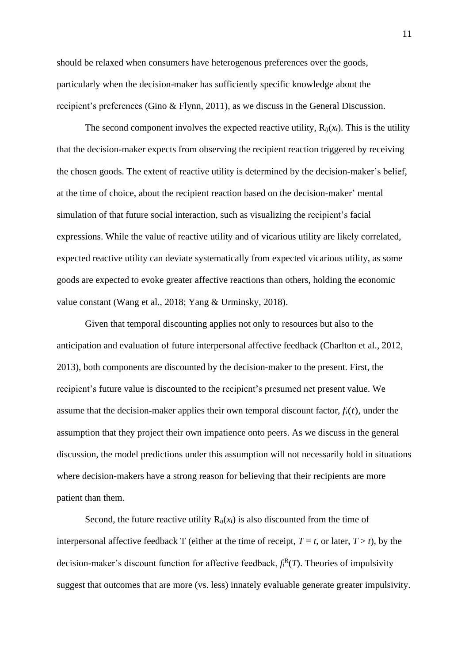should be relaxed when consumers have heterogenous preferences over the goods, particularly when the decision-maker has sufficiently specific knowledge about the recipient's preferences (Gino & Flynn, 2011), as we discuss in the General Discussion.

The second component involves the expected reactive utility,  $R_{ij}(x_t)$ . This is the utility that the decision-maker expects from observing the recipient reaction triggered by receiving the chosen goods. The extent of reactive utility is determined by the decision-maker's belief, at the time of choice, about the recipient reaction based on the decision-maker' mental simulation of that future social interaction, such as visualizing the recipient's facial expressions. While the value of reactive utility and of vicarious utility are likely correlated, expected reactive utility can deviate systematically from expected vicarious utility, as some goods are expected to evoke greater affective reactions than others, holding the economic value constant (Wang et al., 2018; Yang & Urminsky, 2018).

Given that temporal discounting applies not only to resources but also to the anticipation and evaluation of future interpersonal affective feedback (Charlton et al., 2012, 2013), both components are discounted by the decision-maker to the present. First, the recipient's future value is discounted to the recipient's presumed net present value. We assume that the decision-maker applies their own temporal discount factor,  $f_i(t)$ , under the assumption that they project their own impatience onto peers. As we discuss in the general discussion, the model predictions under this assumption will not necessarily hold in situations where decision-makers have a strong reason for believing that their recipients are more patient than them.

Second, the future reactive utility  $R_{ij}(x_t)$  is also discounted from the time of interpersonal affective feedback T (either at the time of receipt,  $T = t$ , or later,  $T > t$ ), by the decision-maker's discount function for affective feedback,  $f_i^R(T)$ . Theories of impulsivity suggest that outcomes that are more (vs. less) innately evaluable generate greater impulsivity.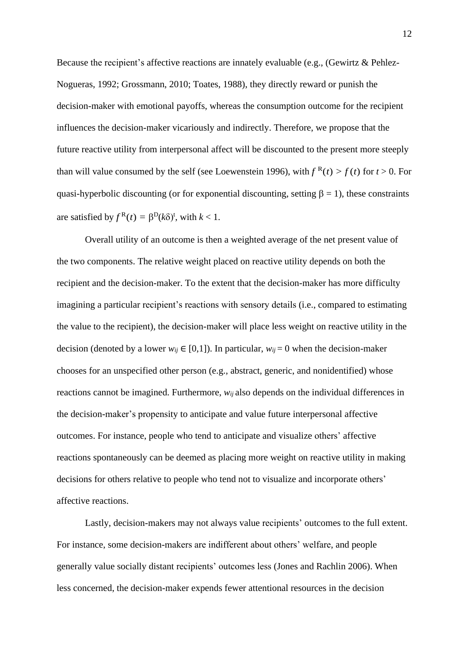Because the recipient's affective reactions are innately evaluable (e.g., (Gewirtz & Pehlez-Nogueras, 1992; Grossmann, 2010; Toates, 1988), they directly reward or punish the decision-maker with emotional payoffs, whereas the consumption outcome for the recipient influences the decision-maker vicariously and indirectly. Therefore, we propose that the future reactive utility from interpersonal affect will be discounted to the present more steeply than will value consumed by the self (see Loewenstein 1996), with  $f<sup>R</sup>(t) > f(t)$  for  $t > 0$ . For quasi-hyperbolic discounting (or for exponential discounting, setting  $\beta = 1$ ), these constraints are satisfied by  $f^{R}(t) = \beta^{D}(k\delta)^{t}$ , with  $k < 1$ .

Overall utility of an outcome is then a weighted average of the net present value of the two components. The relative weight placed on reactive utility depends on both the recipient and the decision-maker. To the extent that the decision-maker has more difficulty imagining a particular recipient's reactions with sensory details (i.e., compared to estimating the value to the recipient), the decision-maker will place less weight on reactive utility in the decision (denoted by a lower  $w_{ij} \in [0,1]$ ). In particular,  $w_{ij} = 0$  when the decision-maker chooses for an unspecified other person (e.g., abstract, generic, and nonidentified) whose reactions cannot be imagined. Furthermore, *wij* also depends on the individual differences in the decision-maker's propensity to anticipate and value future interpersonal affective outcomes. For instance, people who tend to anticipate and visualize others' affective reactions spontaneously can be deemed as placing more weight on reactive utility in making decisions for others relative to people who tend not to visualize and incorporate others' affective reactions.

Lastly, decision-makers may not always value recipients' outcomes to the full extent. For instance, some decision-makers are indifferent about others' welfare, and people generally value socially distant recipients' outcomes less (Jones and Rachlin 2006). When less concerned, the decision-maker expends fewer attentional resources in the decision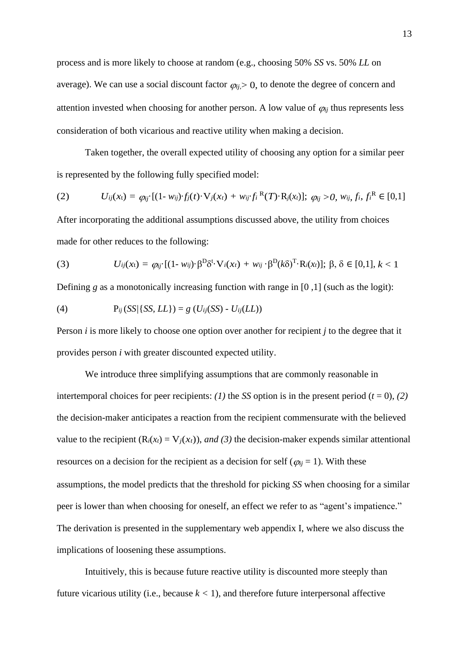process and is more likely to choose at random (e.g., choosing 50% *SS* vs. 50% *LL* on average). We can use a social discount factor  $\varphi_{ii} > 0$ , to denote the degree of concern and attention invested when choosing for another person. A low value of  $\varphi_{ij}$  thus represents less consideration of both vicarious and reactive utility when making a decision.

Taken together, the overall expected utility of choosing any option for a similar peer is represented by the following fully specified model:

(2) 
$$
U_{ij}(x_t) = \varphi_{ij} \cdot [(1 - w_{ij}) \cdot f_j(t) \cdot V_j(x_t) + w_{ij} \cdot f_i^{R}(T) \cdot R_j(x_t)]; \varphi_{ij} > 0, w_{ij}, f_i, f_i^{R} \in [0,1]
$$

After incorporating the additional assumptions discussed above, the utility from choices made for other reduces to the following:

(3) 
$$
U_{ij}(x_t) = \varphi_{ij} \cdot [(1 - w_{ij}) \cdot \beta^D \delta^t \cdot V_i(x_t) + w_{ij} \cdot \beta^D (k \delta)^T \cdot R_i(x_t)]; \beta, \delta \in [0,1], k < 1
$$

Defining *g* as a monotonically increasing function with range in [0,1] (such as the logit):

(4) 
$$
P_{ij}(SS/\{SS, LL\}) = g(U_{ij}(SS) - U_{ij}(LL))
$$

Person *i* is more likely to choose one option over another for recipient *j* to the degree that it provides person *i* with greater discounted expected utility.

We introduce three simplifying assumptions that are commonly reasonable in intertemporal choices for peer recipients: *(1)* the *SS* option is in the present period ( $t = 0$ ), *(2)* the decision-maker anticipates a reaction from the recipient commensurate with the believed value to the recipient  $(R_i(x_t) = V_j(x_t))$ , *and* (3) the decision-maker expends similar attentional resources on a decision for the recipient as a decision for self ( $\varphi_{ij} = 1$ ). With these assumptions, the model predicts that the threshold for picking *SS* when choosing for a similar peer is lower than when choosing for oneself, an effect we refer to as "agent's impatience." The derivation is presented in the supplementary web appendix I, where we also discuss the implications of loosening these assumptions.

Intuitively, this is because future reactive utility is discounted more steeply than future vicarious utility (i.e., because  $k < 1$ ), and therefore future interpersonal affective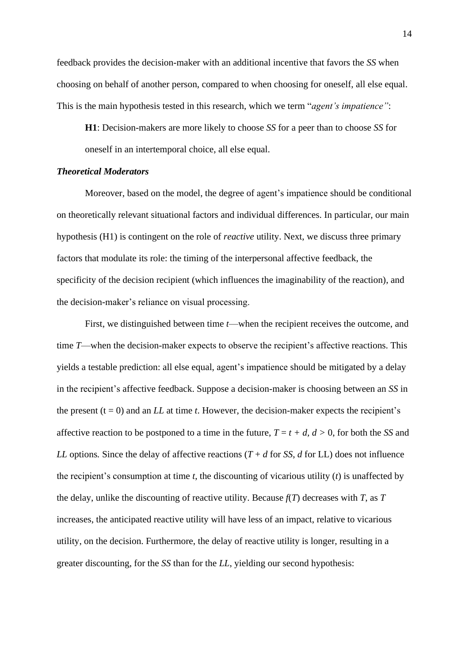feedback provides the decision-maker with an additional incentive that favors the *SS* when choosing on behalf of another person, compared to when choosing for oneself, all else equal. This is the main hypothesis tested in this research, which we term "*agent's impatience"*:

**H1**: Decision-makers are more likely to choose *SS* for a peer than to choose *SS* for oneself in an intertemporal choice, all else equal.

# *Theoretical Moderators*

Moreover, based on the model, the degree of agent's impatience should be conditional on theoretically relevant situational factors and individual differences. In particular, our main hypothesis (H1) is contingent on the role of *reactive* utility. Next, we discuss three primary factors that modulate its role: the timing of the interpersonal affective feedback, the specificity of the decision recipient (which influences the imaginability of the reaction), and the decision-maker's reliance on visual processing.

First, we distinguished between time *t*—when the recipient receives the outcome, and time *T*—when the decision-maker expects to observe the recipient's affective reactions. This yields a testable prediction: all else equal, agent's impatience should be mitigated by a delay in the recipient's affective feedback. Suppose a decision-maker is choosing between an *SS* in the present  $(t = 0)$  and an *LL* at time *t*. However, the decision-maker expects the recipient's affective reaction to be postponed to a time in the future,  $T = t + d$ ,  $d > 0$ , for both the *SS* and *LL* options. Since the delay of affective reactions  $(T + d$  for *SS*, *d* for *LL*) does not influence the recipient's consumption at time *t*, the discounting of vicarious utility (*t*) is unaffected by the delay, unlike the discounting of reactive utility. Because *f*(*T*) decreases with *T*, as *T* increases, the anticipated reactive utility will have less of an impact, relative to vicarious utility, on the decision. Furthermore, the delay of reactive utility is longer, resulting in a greater discounting, for the *SS* than for the *LL*, yielding our second hypothesis: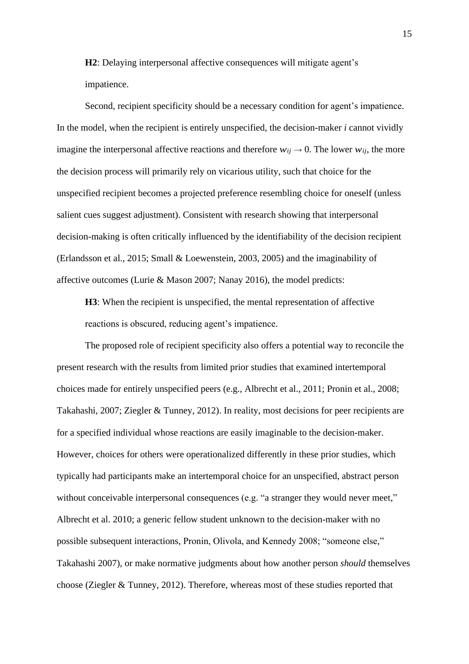**H2**: Delaying interpersonal affective consequences will mitigate agent's impatience.

Second, recipient specificity should be a necessary condition for agent's impatience. In the model, when the recipient is entirely unspecified, the decision-maker *i* cannot vividly imagine the interpersonal affective reactions and therefore  $w_{ij} \rightarrow 0$ . The lower  $w_{ij}$ , the more the decision process will primarily rely on vicarious utility, such that choice for the unspecified recipient becomes a projected preference resembling choice for oneself (unless salient cues suggest adjustment). Consistent with research showing that interpersonal decision-making is often critically influenced by the identifiability of the decision recipient (Erlandsson et al., 2015; Small & Loewenstein, 2003, 2005) and the imaginability of affective outcomes (Lurie & Mason 2007; Nanay 2016), the model predicts:

**H3**: When the recipient is unspecified, the mental representation of affective reactions is obscured, reducing agent's impatience.

The proposed role of recipient specificity also offers a potential way to reconcile the present research with the results from limited prior studies that examined intertemporal choices made for entirely unspecified peers (e.g., Albrecht et al., 2011; Pronin et al., 2008; Takahashi, 2007; Ziegler & Tunney, 2012). In reality, most decisions for peer recipients are for a specified individual whose reactions are easily imaginable to the decision-maker. However, choices for others were operationalized differently in these prior studies, which typically had participants make an intertemporal choice for an unspecified, abstract person without conceivable interpersonal consequences (e.g. "a stranger they would never meet," Albrecht et al. 2010; a generic fellow student unknown to the decision-maker with no possible subsequent interactions, Pronin, Olivola, and Kennedy 2008; "someone else," Takahashi 2007), or make normative judgments about how another person *should* themselves choose (Ziegler & Tunney, 2012). Therefore, whereas most of these studies reported that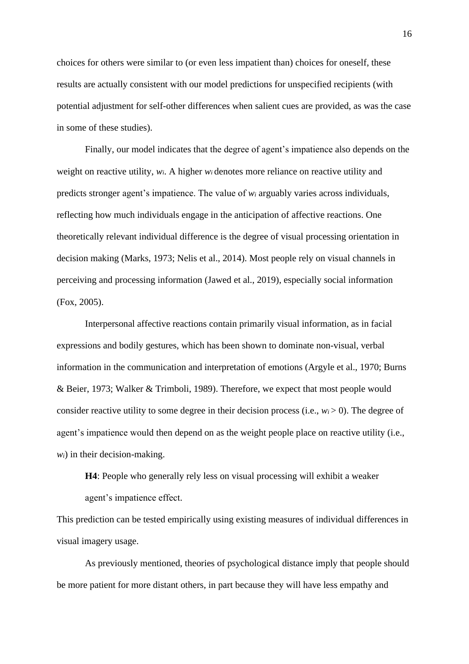choices for others were similar to (or even less impatient than) choices for oneself, these results are actually consistent with our model predictions for unspecified recipients (with potential adjustment for self-other differences when salient cues are provided, as was the case in some of these studies).

Finally, our model indicates that the degree of agent's impatience also depends on the weight on reactive utility, *wi*. A higher *w<sup>i</sup>* denotes more reliance on reactive utility and predicts stronger agent's impatience. The value of *w<sup>i</sup>* arguably varies across individuals, reflecting how much individuals engage in the anticipation of affective reactions. One theoretically relevant individual difference is the degree of visual processing orientation in decision making (Marks, 1973; Nelis et al., 2014). Most people rely on visual channels in perceiving and processing information (Jawed et al., 2019), especially social information (Fox, 2005).

Interpersonal affective reactions contain primarily visual information, as in facial expressions and bodily gestures, which has been shown to dominate non-visual, verbal information in the communication and interpretation of emotions (Argyle et al., 1970; Burns & Beier, 1973; Walker & Trimboli, 1989). Therefore, we expect that most people would consider reactive utility to some degree in their decision process (i.e.,  $w_i > 0$ ). The degree of agent's impatience would then depend on as the weight people place on reactive utility (i.e., *wi*) in their decision-making.

**H4**: People who generally rely less on visual processing will exhibit a weaker agent's impatience effect.

This prediction can be tested empirically using existing measures of individual differences in visual imagery usage.

As previously mentioned, theories of psychological distance imply that people should be more patient for more distant others, in part because they will have less empathy and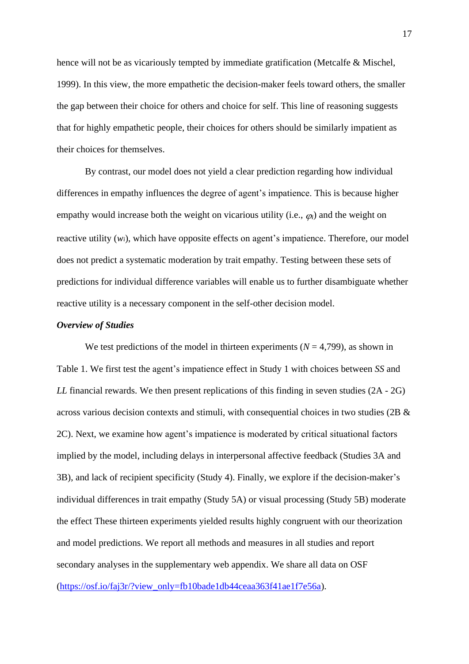hence will not be as vicariously tempted by immediate gratification (Metcalfe & Mischel, 1999). In this view, the more empathetic the decision-maker feels toward others, the smaller the gap between their choice for others and choice for self. This line of reasoning suggests that for highly empathetic people, their choices for others should be similarly impatient as their choices for themselves.

By contrast, our model does not yield a clear prediction regarding how individual differences in empathy influences the degree of agent's impatience. This is because higher empathy would increase both the weight on vicarious utility (i.e.,  $\varphi_i$ ) and the weight on reactive utility (*wi*), which have opposite effects on agent's impatience. Therefore, our model does not predict a systematic moderation by trait empathy. Testing between these sets of predictions for individual difference variables will enable us to further disambiguate whether reactive utility is a necessary component in the self-other decision model.

#### *Overview of Studies*

We test predictions of the model in thirteen experiments  $(N = 4,799)$ , as shown in Table 1. We first test the agent's impatience effect in Study 1 with choices between *SS* and *LL* financial rewards. We then present replications of this finding in seven studies (2A - 2G) across various decision contexts and stimuli, with consequential choices in two studies (2B & 2C). Next, we examine how agent's impatience is moderated by critical situational factors implied by the model, including delays in interpersonal affective feedback (Studies 3A and 3B), and lack of recipient specificity (Study 4). Finally, we explore if the decision-maker's individual differences in trait empathy (Study 5A) or visual processing (Study 5B) moderate the effect These thirteen experiments yielded results highly congruent with our theorization and model predictions. We report all methods and measures in all studies and report secondary analyses in the supplementary web appendix. We share all data on OSF [\(https://osf.io/faj3r/?view\\_only=fb10bade1db44ceaa363f41ae1f7e56a\)](https://osf.io/faj3r/?view_only=fb10bade1db44ceaa363f41ae1f7e56a).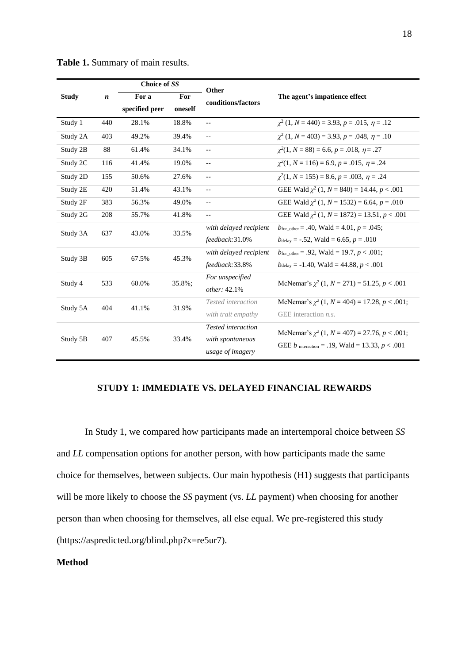|              | $\boldsymbol{n}$ | Choice of SS   |         | Other                      | The agent's impatience effect                                                                                  |  |  |
|--------------|------------------|----------------|---------|----------------------------|----------------------------------------------------------------------------------------------------------------|--|--|
| <b>Study</b> |                  | For a<br>For   |         | conditions/factors         |                                                                                                                |  |  |
|              |                  | specified peer | oneself |                            |                                                                                                                |  |  |
| Study 1      | 440              | 28.1%          | 18.8%   | $\overline{\phantom{a}}$ . | $\gamma^2$ (1, N = 440) = 3.93, p = .015, $\eta$ = .12                                                         |  |  |
| Study 2A     | 403              | 49.2%          | 39.4%   | $\overline{\phantom{a}}$ . | $\gamma^2$ (1, N = 403) = 3.93, p = .048, $\eta$ = .10                                                         |  |  |
| Study 2B     | 88               | 61.4%          | 34.1%   | $\overline{\phantom{a}}$ . | $\chi^2(1, N = 88) = 6.6, p = .018, \eta = .27$                                                                |  |  |
| Study 2C     | 116              | 41.4%          | 19.0%   | $\overline{\phantom{a}}$ . | $\chi^2(1, N = 116) = 6.9, p = .015, \eta = .24$                                                               |  |  |
| Study 2D     | 155              | 50.6%          | 27.6%   | $\overline{\phantom{a}}$ . | $\chi^2(1, N = 155) = 8.6, p = .003, \eta = .24$                                                               |  |  |
| Study 2E     | 420              | 51.4%          | 43.1%   | $\overline{\phantom{a}}$   | GEE Wald $\chi^2$ (1, N = 840) = 14.44, p < .001                                                               |  |  |
| Study 2F     | 383              | 56.3%          | 49.0%   | $\overline{\phantom{m}}$   | GEE Wald $\chi^2$ (1, N = 1532) = 6.64, p = .010                                                               |  |  |
| Study 2G     | 208              | 55.7%          | 41.8%   | $\overline{\phantom{a}}$   | GEE Wald $\chi^2$ (1, N = 1872) = 13.51, p < .001                                                              |  |  |
| Study 3A     | 637              | 43.0%          | 33.5%   | with delayed recipient     | $b_{\text{for\_other}} = .40$ , Wald = 4.01, $p = .045$ ;                                                      |  |  |
|              |                  |                |         | feedback:31.0%             | $b_{\text{delay}} = -.52$ , Wald = 6.65, $p = .010$                                                            |  |  |
| Study 3B     | 605              | 67.5%          | 45.3%   | with delayed recipient     | $b_{\text{for other}} = .92$ , Wald = 19.7, $p < .001$ ;                                                       |  |  |
|              |                  |                |         | feedback:33.8%             | $b_{\text{delay}} = -1.40$ , Wald = 44.88, $p < .001$                                                          |  |  |
| Study 4      | 533              | 60.0%          | 35.8%;  | For unspecified            | McNemar's $\chi^2$ (1, N = 271) = 51.25, p < .001                                                              |  |  |
|              |                  |                |         | other: 42.1%               |                                                                                                                |  |  |
| Study 5A     | 404              | 41.1%          | 31.9%   | Tested interaction         | McNemar's $\chi^2$ (1, N = 404) = 17.28, p < .001;                                                             |  |  |
|              |                  |                |         | with trait empathy         | GEE interaction $n.s.$                                                                                         |  |  |
| Study 5B     | 407              | 45.5%          | 33.4%   | Tested interaction         | McNemar's $\chi^2$ (1, N = 407) = 27.76, p < .001;<br>GEE <i>b</i> interaction = .19, Wald = 13.33, $p < .001$ |  |  |
|              |                  |                |         | with spontaneous           |                                                                                                                |  |  |
|              |                  |                |         | usage of imagery           |                                                                                                                |  |  |

**Table 1.** Summary of main results.

# **STUDY 1: IMMEDIATE VS. DELAYED FINANCIAL REWARDS**

In Study 1, we compared how participants made an intertemporal choice between *SS* and *LL* compensation options for another person, with how participants made the same choice for themselves, between subjects. Our main hypothesis (H1) suggests that participants will be more likely to choose the *SS* payment (vs. *LL* payment) when choosing for another person than when choosing for themselves, all else equal. We pre-registered this study (https://aspredicted.org/blind.php?x=re5ur7).

# **Method**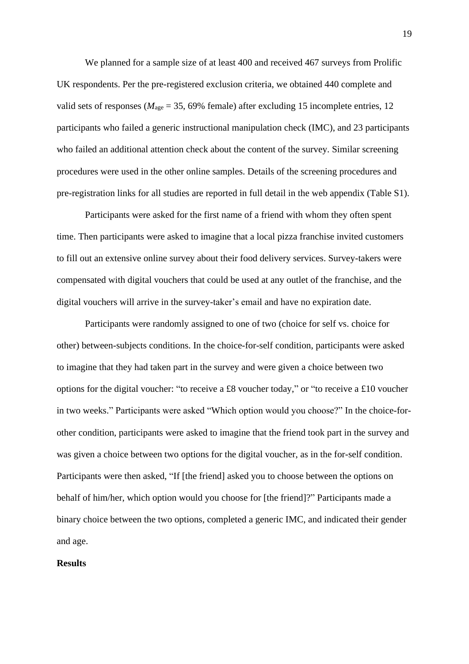We planned for a sample size of at least 400 and received 467 surveys from Prolific UK respondents. Per the pre-registered exclusion criteria, we obtained 440 complete and valid sets of responses ( $M_{\text{age}} = 35,69\%$  female) after excluding 15 incomplete entries, 12 participants who failed a generic instructional manipulation check (IMC), and 23 participants who failed an additional attention check about the content of the survey. Similar screening procedures were used in the other online samples. Details of the screening procedures and pre-registration links for all studies are reported in full detail in the web appendix (Table S1).

Participants were asked for the first name of a friend with whom they often spent time. Then participants were asked to imagine that a local pizza franchise invited customers to fill out an extensive online survey about their food delivery services. Survey-takers were compensated with digital vouchers that could be used at any outlet of the franchise, and the digital vouchers will arrive in the survey-taker's email and have no expiration date.

Participants were randomly assigned to one of two (choice for self vs. choice for other) between-subjects conditions. In the choice-for-self condition, participants were asked to imagine that they had taken part in the survey and were given a choice between two options for the digital voucher: "to receive a £8 voucher today," or "to receive a £10 voucher in two weeks." Participants were asked "Which option would you choose?" In the choice-forother condition, participants were asked to imagine that the friend took part in the survey and was given a choice between two options for the digital voucher, as in the for-self condition. Participants were then asked, "If [the friend] asked you to choose between the options on behalf of him/her, which option would you choose for [the friend]?" Participants made a binary choice between the two options, completed a generic IMC, and indicated their gender and age.

#### **Results**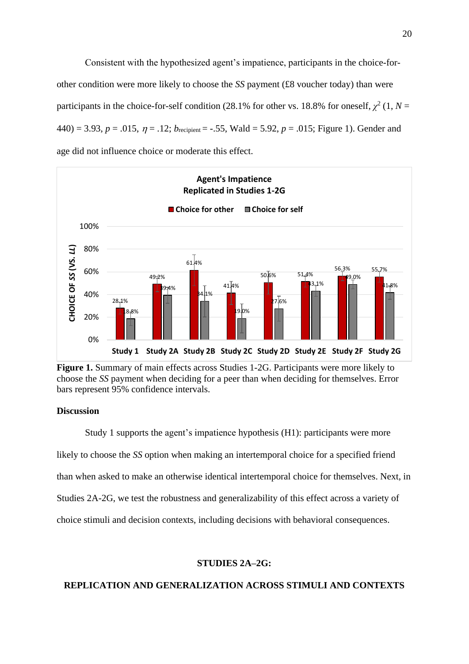Consistent with the hypothesized agent's impatience, participants in the choice-forother condition were more likely to choose the *SS* payment (£8 voucher today) than were participants in the choice-for-self condition (28.1% for other vs. 18.8% for oneself,  $\chi^2$  (1, *N* =  $440$ ) = 3.93, *p* = .015,  $\eta$  = .12; *b*<sub>recipient</sub> = -.55, Wald = 5.92, *p* = .015; Figure 1). Gender and age did not influence choice or moderate this effect.



**Figure 1.** Summary of main effects across Studies 1-2G. Participants were more likely to choose the *SS* payment when deciding for a peer than when deciding for themselves. Error bars represent 95% confidence intervals.

# **Discussion**

Study 1 supports the agent's impatience hypothesis (H1): participants were more likely to choose the *SS* option when making an intertemporal choice for a specified friend than when asked to make an otherwise identical intertemporal choice for themselves. Next, in Studies 2A-2G, we test the robustness and generalizability of this effect across a variety of choice stimuli and decision contexts, including decisions with behavioral consequences.

#### **STUDIES 2A–2G:**

# **REPLICATION AND GENERALIZATION ACROSS STIMULI AND CONTEXTS**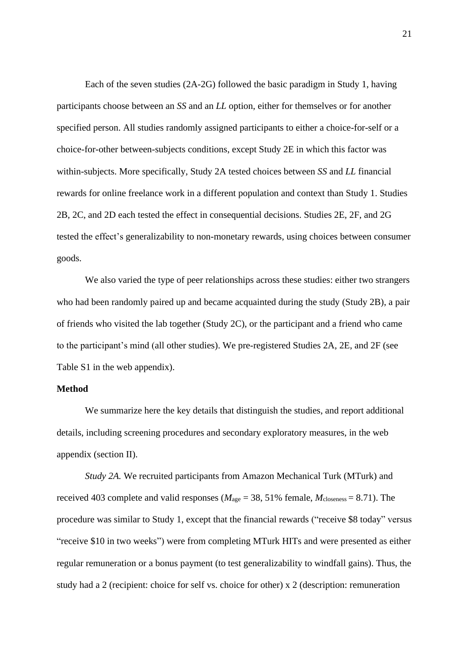Each of the seven studies (2A-2G) followed the basic paradigm in Study 1, having participants choose between an *SS* and an *LL* option, either for themselves or for another specified person. All studies randomly assigned participants to either a choice-for-self or a choice-for-other between-subjects conditions, except Study 2E in which this factor was within-subjects. More specifically, Study 2A tested choices between *SS* and *LL* financial rewards for online freelance work in a different population and context than Study 1. Studies 2B, 2C, and 2D each tested the effect in consequential decisions. Studies 2E, 2F, and 2G tested the effect's generalizability to non-monetary rewards, using choices between consumer goods.

We also varied the type of peer relationships across these studies: either two strangers who had been randomly paired up and became acquainted during the study (Study 2B), a pair of friends who visited the lab together (Study 2C), or the participant and a friend who came to the participant's mind (all other studies). We pre-registered Studies 2A, 2E, and 2F (see Table S1 in the web appendix).

#### **Method**

We summarize here the key details that distinguish the studies, and report additional details, including screening procedures and secondary exploratory measures, in the web appendix (section II).

*Study 2A.* We recruited participants from Amazon Mechanical Turk (MTurk) and received 403 complete and valid responses ( $M_{\text{age}} = 38,51\%$  female,  $M_{\text{closeness}} = 8.71$ ). The procedure was similar to Study 1, except that the financial rewards ("receive \$8 today" versus "receive \$10 in two weeks") were from completing MTurk HITs and were presented as either regular remuneration or a bonus payment (to test generalizability to windfall gains). Thus, the study had a 2 (recipient: choice for self vs. choice for other) x 2 (description: remuneration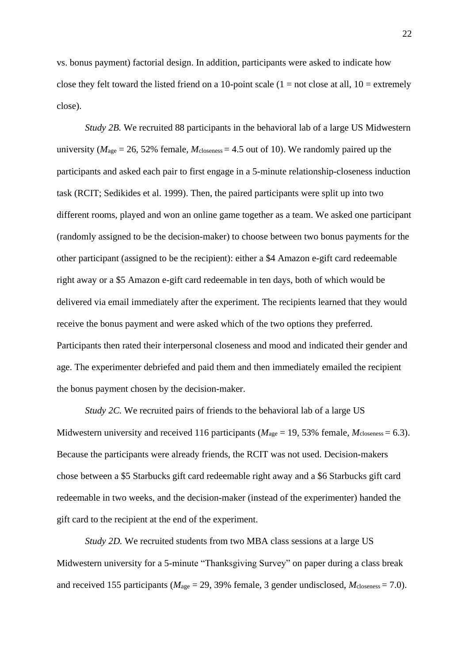vs. bonus payment) factorial design. In addition, participants were asked to indicate how close they felt toward the listed friend on a 10-point scale  $(1 = not close at all, 10 = extremely$ close).

*Study 2B.* We recruited 88 participants in the behavioral lab of a large US Midwestern university ( $M<sub>age</sub> = 26, 52%$  female,  $M<sub>classes</sub> = 4.5$  out of 10). We randomly paired up the participants and asked each pair to first engage in a 5-minute relationship-closeness induction task (RCIT; Sedikides et al. 1999). Then, the paired participants were split up into two different rooms, played and won an online game together as a team. We asked one participant (randomly assigned to be the decision-maker) to choose between two bonus payments for the other participant (assigned to be the recipient): either a \$4 Amazon e-gift card redeemable right away or a \$5 Amazon e-gift card redeemable in ten days, both of which would be delivered via email immediately after the experiment. The recipients learned that they would receive the bonus payment and were asked which of the two options they preferred. Participants then rated their interpersonal closeness and mood and indicated their gender and age. The experimenter debriefed and paid them and then immediately emailed the recipient the bonus payment chosen by the decision-maker.

*Study 2C.* We recruited pairs of friends to the behavioral lab of a large US Midwestern university and received 116 participants ( $M_{\text{age}} = 19,53\%$  female,  $M_{\text{closeness}} = 6.3$ ). Because the participants were already friends, the RCIT was not used. Decision-makers chose between a \$5 Starbucks gift card redeemable right away and a \$6 Starbucks gift card redeemable in two weeks, and the decision-maker (instead of the experimenter) handed the gift card to the recipient at the end of the experiment.

*Study 2D.* We recruited students from two MBA class sessions at a large US Midwestern university for a 5-minute "Thanksgiving Survey" on paper during a class break and received 155 participants ( $M_{\text{age}} = 29,39\%$  female, 3 gender undisclosed,  $M_{\text{closeness}} = 7.0$ ).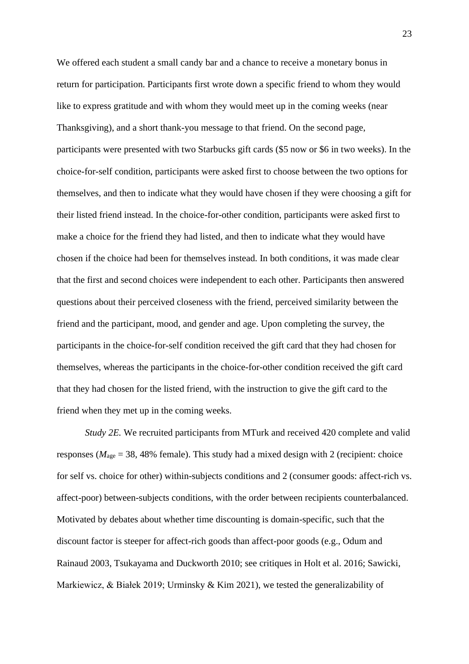We offered each student a small candy bar and a chance to receive a monetary bonus in return for participation. Participants first wrote down a specific friend to whom they would like to express gratitude and with whom they would meet up in the coming weeks (near Thanksgiving), and a short thank-you message to that friend. On the second page, participants were presented with two Starbucks gift cards (\$5 now or \$6 in two weeks). In the choice-for-self condition, participants were asked first to choose between the two options for themselves, and then to indicate what they would have chosen if they were choosing a gift for their listed friend instead. In the choice-for-other condition, participants were asked first to make a choice for the friend they had listed, and then to indicate what they would have chosen if the choice had been for themselves instead. In both conditions, it was made clear that the first and second choices were independent to each other. Participants then answered questions about their perceived closeness with the friend, perceived similarity between the friend and the participant, mood, and gender and age. Upon completing the survey, the participants in the choice-for-self condition received the gift card that they had chosen for themselves, whereas the participants in the choice-for-other condition received the gift card that they had chosen for the listed friend, with the instruction to give the gift card to the friend when they met up in the coming weeks.

*Study 2E.* We recruited participants from MTurk and received 420 complete and valid responses (*M*age = 38, 48% female). This study had a mixed design with 2 (recipient: choice for self vs. choice for other) within-subjects conditions and 2 (consumer goods: affect-rich vs. affect-poor) between-subjects conditions, with the order between recipients counterbalanced. Motivated by debates about whether time discounting is domain-specific, such that the discount factor is steeper for affect-rich goods than affect-poor goods (e.g., Odum and Rainaud 2003, Tsukayama and Duckworth 2010; see critiques in Holt et al. 2016; Sawicki, Markiewicz, & Białek 2019; Urminsky & Kim 2021), we tested the generalizability of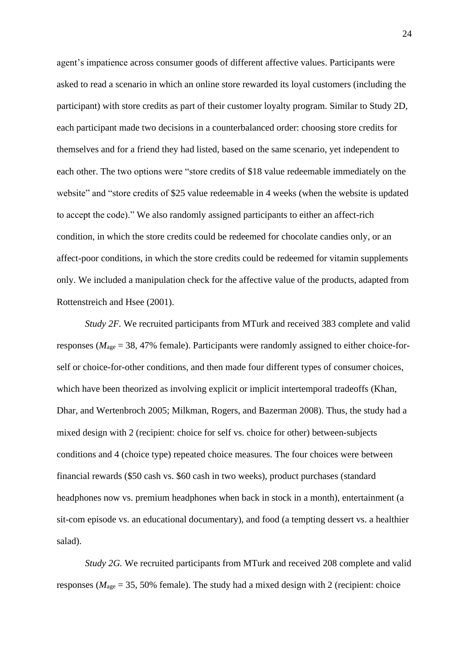agent's impatience across consumer goods of different affective values. Participants were asked to read a scenario in which an online store rewarded its loyal customers (including the participant) with store credits as part of their customer loyalty program. Similar to Study 2D, each participant made two decisions in a counterbalanced order: choosing store credits for themselves and for a friend they had listed, based on the same scenario, yet independent to each other. The two options were "store credits of \$18 value redeemable immediately on the website" and "store credits of \$25 value redeemable in 4 weeks (when the website is updated to accept the code)." We also randomly assigned participants to either an affect-rich condition, in which the store credits could be redeemed for chocolate candies only, or an affect-poor conditions, in which the store credits could be redeemed for vitamin supplements only. We included a manipulation check for the affective value of the products, adapted from Rottenstreich and Hsee (2001).

*Study 2F.* We recruited participants from MTurk and received 383 complete and valid responses (*M*age = 38, 47% female). Participants were randomly assigned to either choice-forself or choice-for-other conditions, and then made four different types of consumer choices, which have been theorized as involving explicit or implicit intertemporal tradeoffs (Khan, Dhar, and Wertenbroch 2005; Milkman, Rogers, and Bazerman 2008). Thus, the study had a mixed design with 2 (recipient: choice for self vs. choice for other) between-subjects conditions and 4 (choice type) repeated choice measures. The four choices were between financial rewards (\$50 cash vs. \$60 cash in two weeks), product purchases (standard headphones now vs. premium headphones when back in stock in a month), entertainment (a sit-com episode vs. an educational documentary), and food (a tempting dessert vs. a healthier salad).

*Study 2G.* We recruited participants from MTurk and received 208 complete and valid responses (*M*age = 35, 50% female). The study had a mixed design with 2 (recipient: choice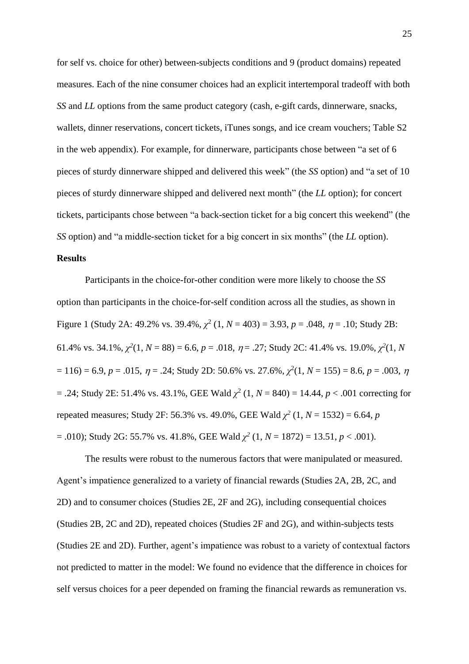for self vs. choice for other) between-subjects conditions and 9 (product domains) repeated measures. Each of the nine consumer choices had an explicit intertemporal tradeoff with both *SS* and *LL* options from the same product category (cash, e-gift cards, dinnerware, snacks, wallets, dinner reservations, concert tickets, iTunes songs, and ice cream vouchers; Table S2 in the web appendix). For example, for dinnerware, participants chose between "a set of 6 pieces of sturdy dinnerware shipped and delivered this week" (the *SS* option) and "a set of 10 pieces of sturdy dinnerware shipped and delivered next month" (the *LL* option); for concert tickets, participants chose between "a back-section ticket for a big concert this weekend" (the *SS* option) and "a middle-section ticket for a big concert in six months" (the *LL* option).

# **Results**

Participants in the choice-for-other condition were more likely to choose the *SS* option than participants in the choice-for-self condition across all the studies, as shown in Figure 1 (Study 2A: 49.2% vs. 39.4%,  $\chi^2$  (1,  $N = 403$ ) = 3.93,  $p = .048$ ,  $\eta = .10$ ; Study 2B: 61.4% vs. 34.1%,  $\chi^2(1, N = 88) = 6.6$ ,  $p = .018$ ,  $\eta = .27$ ; Study 2C: 41.4% vs. 19.0%,  $\chi^2(1, N)$  $= 116$ ) = 6.9,  $p = .015$ ,  $\eta = .24$ ; Study 2D: 50.6% vs. 27.6%,  $\chi^2(1, N = 155) = 8.6$ ,  $p = .003$ ,  $\eta$  $=$  .24; Study 2E: 51.4% vs. 43.1%, GEE Wald  $\chi^2$  (1, *N* = 840) = 14.44, *p* < .001 correcting for repeated measures; Study 2F: 56.3% vs. 49.0%, GEE Wald  $\chi^2$  (1, *N* = 1532) = 6.64, *p*  $= .010$ ); Study 2G: 55.7% vs. 41.8%, GEE Wald  $\chi^2$  (1,  $N = 1872$ ) = 13.51,  $p < .001$ ).

The results were robust to the numerous factors that were manipulated or measured. Agent's impatience generalized to a variety of financial rewards (Studies 2A, 2B, 2C, and 2D) and to consumer choices (Studies 2E, 2F and 2G), including consequential choices (Studies 2B, 2C and 2D), repeated choices (Studies 2F and 2G), and within-subjects tests (Studies 2E and 2D). Further, agent's impatience was robust to a variety of contextual factors not predicted to matter in the model: We found no evidence that the difference in choices for self versus choices for a peer depended on framing the financial rewards as remuneration vs.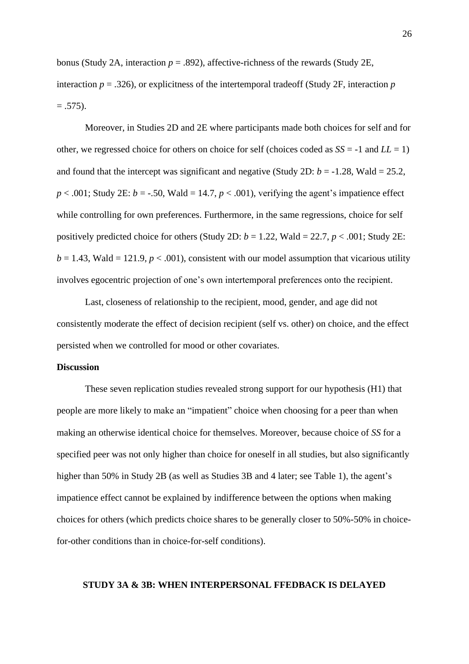bonus (Study 2A, interaction  $p = .892$ ), affective-richness of the rewards (Study 2E, interaction  $p = 0.326$ , or explicitness of the intertemporal tradeoff (Study 2F, interaction *p*  $= .575$ ).

Moreover, in Studies 2D and 2E where participants made both choices for self and for other, we regressed choice for others on choice for self (choices coded as *SS* = -1 and *LL* = 1) and found that the intercept was significant and negative (Study 2D:  $b = -1.28$ , Wald = 25.2,  $p < .001$ ; Study 2E:  $b = -.50$ , Wald = 14.7,  $p < .001$ ), verifying the agent's impatience effect while controlling for own preferences. Furthermore, in the same regressions, choice for self positively predicted choice for others (Study 2D:  $b = 1.22$ , Wald = 22.7,  $p < .001$ ; Study 2E:  $b = 1.43$ , Wald = 121.9,  $p < .001$ ), consistent with our model assumption that vicarious utility involves egocentric projection of one's own intertemporal preferences onto the recipient.

Last, closeness of relationship to the recipient, mood, gender, and age did not consistently moderate the effect of decision recipient (self vs. other) on choice, and the effect persisted when we controlled for mood or other covariates.

# **Discussion**

These seven replication studies revealed strong support for our hypothesis (H1) that people are more likely to make an "impatient" choice when choosing for a peer than when making an otherwise identical choice for themselves. Moreover, because choice of *SS* for a specified peer was not only higher than choice for oneself in all studies, but also significantly higher than 50% in Study 2B (as well as Studies 3B and 4 later; see Table 1), the agent's impatience effect cannot be explained by indifference between the options when making choices for others (which predicts choice shares to be generally closer to 50%-50% in choicefor-other conditions than in choice-for-self conditions).

#### **STUDY 3A & 3B: WHEN INTERPERSONAL FFEDBACK IS DELAYED**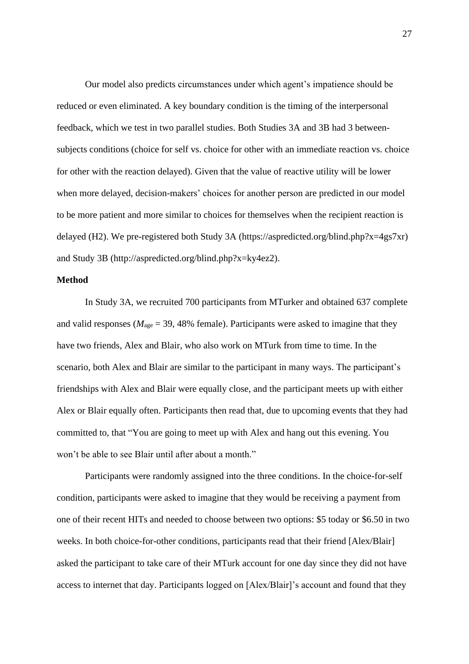Our model also predicts circumstances under which agent's impatience should be reduced or even eliminated. A key boundary condition is the timing of the interpersonal feedback, which we test in two parallel studies. Both Studies 3A and 3B had 3 betweensubjects conditions (choice for self vs. choice for other with an immediate reaction vs. choice for other with the reaction delayed). Given that the value of reactive utility will be lower when more delayed, decision-makers' choices for another person are predicted in our model to be more patient and more similar to choices for themselves when the recipient reaction is delayed (H2). We pre-registered both Study 3A (https://aspredicted.org/blind.php?x=4gs7xr) and Study 3B (http://aspredicted.org/blind.php?x=ky4ez2).

# **Method**

In Study 3A, we recruited 700 participants from MTurker and obtained 637 complete and valid responses ( $M_{\text{age}} = 39,48\%$  female). Participants were asked to imagine that they have two friends, Alex and Blair, who also work on MTurk from time to time. In the scenario, both Alex and Blair are similar to the participant in many ways. The participant's friendships with Alex and Blair were equally close, and the participant meets up with either Alex or Blair equally often. Participants then read that, due to upcoming events that they had committed to, that "You are going to meet up with Alex and hang out this evening. You won't be able to see Blair until after about a month."

Participants were randomly assigned into the three conditions. In the choice-for-self condition, participants were asked to imagine that they would be receiving a payment from one of their recent HITs and needed to choose between two options: \$5 today or \$6.50 in two weeks. In both choice-for-other conditions, participants read that their friend [Alex/Blair] asked the participant to take care of their MTurk account for one day since they did not have access to internet that day. Participants logged on [Alex/Blair]'s account and found that they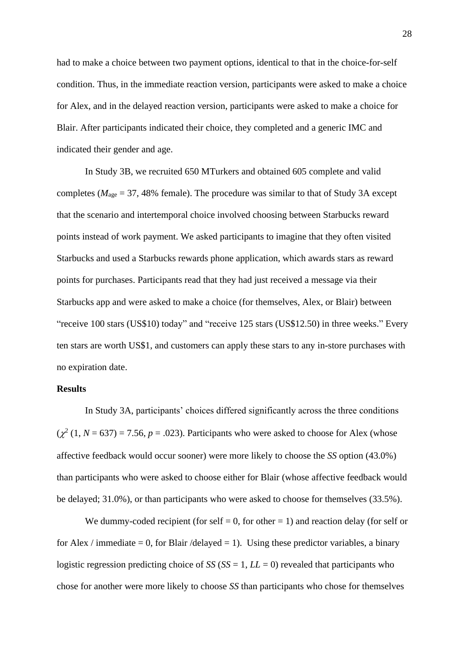had to make a choice between two payment options, identical to that in the choice-for-self condition. Thus, in the immediate reaction version, participants were asked to make a choice for Alex, and in the delayed reaction version, participants were asked to make a choice for Blair. After participants indicated their choice, they completed and a generic IMC and indicated their gender and age.

In Study 3B, we recruited 650 MTurkers and obtained 605 complete and valid completes ( $M<sub>age</sub> = 37,48%$  female). The procedure was similar to that of Study 3A except that the scenario and intertemporal choice involved choosing between Starbucks reward points instead of work payment. We asked participants to imagine that they often visited Starbucks and used a Starbucks rewards phone application, which awards stars as reward points for purchases. Participants read that they had just received a message via their Starbucks app and were asked to make a choice (for themselves, Alex, or Blair) between "receive 100 stars (US\$10) today" and "receive 125 stars (US\$12.50) in three weeks." Every ten stars are worth US\$1, and customers can apply these stars to any in-store purchases with no expiration date.

# **Results**

In Study 3A, participants' choices differed significantly across the three conditions  $(\chi^2 (1, N = 637) = 7.56, p = .023)$ . Participants who were asked to choose for Alex (whose affective feedback would occur sooner) were more likely to choose the *SS* option (43.0%) than participants who were asked to choose either for Blair (whose affective feedback would be delayed; 31.0%), or than participants who were asked to choose for themselves (33.5%).

We dummy-coded recipient (for self  $= 0$ , for other  $= 1$ ) and reaction delay (for self or for Alex / immediate  $= 0$ , for Blair /delayed  $= 1$ ). Using these predictor variables, a binary logistic regression predicting choice of  $SS$  ( $SS = 1$ ,  $LL = 0$ ) revealed that participants who chose for another were more likely to choose *SS* than participants who chose for themselves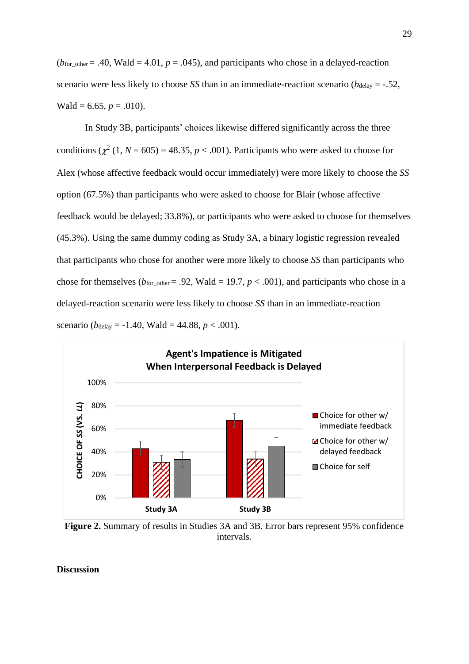$(b<sub>for_oother</sub> = .40, Wald = 4.01, p = .045)$ , and participants who chose in a delayed-reaction scenario were less likely to choose *SS* than in an immediate-reaction scenario ( $b_{\text{delay}} = -.52$ , Wald = 6.65,  $p = .010$ ).

In Study 3B, participants' choices likewise differed significantly across the three conditions  $(\chi^2 (1, N = 605) = 48.35, p < .001)$ . Participants who were asked to choose for Alex (whose affective feedback would occur immediately) were more likely to choose the *SS*  option (67.5%) than participants who were asked to choose for Blair (whose affective feedback would be delayed; 33.8%), or participants who were asked to choose for themselves (45.3%). Using the same dummy coding as Study 3A, a binary logistic regression revealed that participants who chose for another were more likely to choose *SS* than participants who chose for themselves ( $b_{\text{for other}} = .92$ , Wald = 19.7,  $p < .001$ ), and participants who chose in a delayed-reaction scenario were less likely to choose *SS* than in an immediate-reaction scenario ( $b_{\text{delay}} = -1.40$ , Wald = 44.88,  $p < .001$ ).



**Figure 2.** Summary of results in Studies 3A and 3B. Error bars represent 95% confidence intervals.

**Discussion**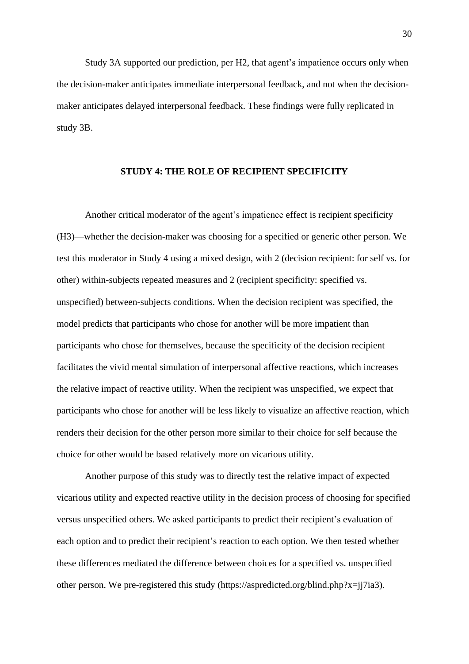Study 3A supported our prediction, per H2, that agent's impatience occurs only when the decision-maker anticipates immediate interpersonal feedback, and not when the decisionmaker anticipates delayed interpersonal feedback. These findings were fully replicated in study 3B.

# **STUDY 4: THE ROLE OF RECIPIENT SPECIFICITY**

Another critical moderator of the agent's impatience effect is recipient specificity (H3)—whether the decision-maker was choosing for a specified or generic other person. We test this moderator in Study 4 using a mixed design, with 2 (decision recipient: for self vs. for other) within-subjects repeated measures and 2 (recipient specificity: specified vs. unspecified) between-subjects conditions. When the decision recipient was specified, the model predicts that participants who chose for another will be more impatient than participants who chose for themselves, because the specificity of the decision recipient facilitates the vivid mental simulation of interpersonal affective reactions, which increases the relative impact of reactive utility. When the recipient was unspecified, we expect that participants who chose for another will be less likely to visualize an affective reaction, which renders their decision for the other person more similar to their choice for self because the choice for other would be based relatively more on vicarious utility.

Another purpose of this study was to directly test the relative impact of expected vicarious utility and expected reactive utility in the decision process of choosing for specified versus unspecified others. We asked participants to predict their recipient's evaluation of each option and to predict their recipient's reaction to each option. We then tested whether these differences mediated the difference between choices for a specified vs. unspecified other person. We pre-registered this study (https://aspredicted.org/blind.php?x=jj7ia3).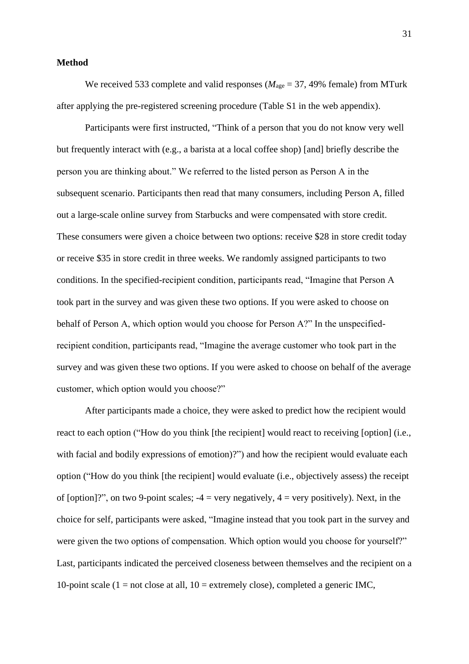#### **Method**

We received 533 complete and valid responses ( $M_{\text{age}} = 37,49\%$  female) from MTurk after applying the pre-registered screening procedure (Table S1 in the web appendix).

Participants were first instructed, "Think of a person that you do not know very well but frequently interact with (e.g., a barista at a local coffee shop) [and] briefly describe the person you are thinking about." We referred to the listed person as Person A in the subsequent scenario. Participants then read that many consumers, including Person A, filled out a large-scale online survey from Starbucks and were compensated with store credit. These consumers were given a choice between two options: receive \$28 in store credit today or receive \$35 in store credit in three weeks. We randomly assigned participants to two conditions. In the specified-recipient condition, participants read, "Imagine that Person A took part in the survey and was given these two options. If you were asked to choose on behalf of Person A, which option would you choose for Person A?" In the unspecifiedrecipient condition, participants read, "Imagine the average customer who took part in the survey and was given these two options. If you were asked to choose on behalf of the average customer, which option would you choose?"

After participants made a choice, they were asked to predict how the recipient would react to each option ("How do you think [the recipient] would react to receiving [option] (i.e., with facial and bodily expressions of emotion)?") and how the recipient would evaluate each option ("How do you think [the recipient] would evaluate (i.e., objectively assess) the receipt of [option]?", on two 9-point scales;  $-4$  = very negatively,  $4$  = very positively). Next, in the choice for self, participants were asked, "Imagine instead that you took part in the survey and were given the two options of compensation. Which option would you choose for yourself?" Last, participants indicated the perceived closeness between themselves and the recipient on a 10-point scale (1 = not close at all,  $10 =$  extremely close), completed a generic IMC,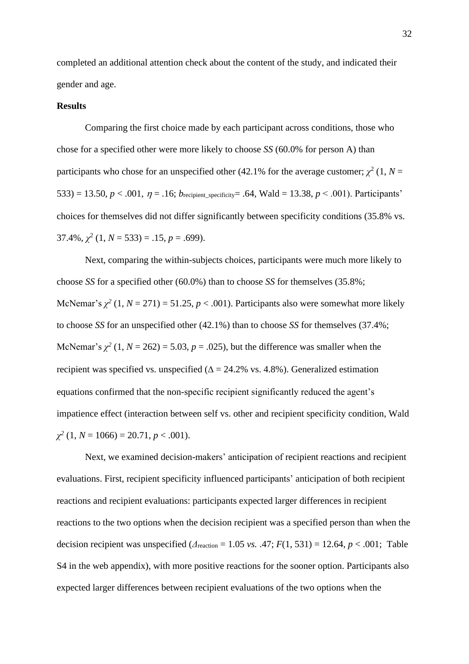completed an additional attention check about the content of the study, and indicated their gender and age.

#### **Results**

Comparing the first choice made by each participant across conditions, those who chose for a specified other were more likely to choose *SS* (60.0% for person A) than participants who chose for an unspecified other (42.1% for the average customer;  $\chi^2$  (1, *N* = 533) = 13.50,  $p < .001$ ,  $\eta = .16$ ; *b*<sub>recipient\_specificity = .64, Wald = 13.38,  $p < .001$ ). Participants'</sub> choices for themselves did not differ significantly between specificity conditions (35.8% vs.  $37.4\%, \chi^2(1, N = 533) = .15, p = .699$ .

Next, comparing the within-subjects choices, participants were much more likely to choose *SS* for a specified other (60.0%) than to choose *SS* for themselves (35.8%; McNemar's  $\chi^2$  (1,  $N = 271$ ) = 51.25,  $p < .001$ ). Participants also were somewhat more likely to choose *SS* for an unspecified other (42.1%) than to choose *SS* for themselves (37.4%; McNemar's  $\chi^2$  (1,  $N = 262$ ) = 5.03,  $p = .025$ ), but the difference was smaller when the recipient was specified vs. unspecified ( $\Delta = 24.2\%$  vs. 4.8%). Generalized estimation equations confirmed that the non-specific recipient significantly reduced the agent's impatience effect (interaction between self vs. other and recipient specificity condition, Wald *χ 2* (1, *N* = 1066) = 20.71, *p* < .001).

Next, we examined decision-makers' anticipation of recipient reactions and recipient evaluations. First, recipient specificity influenced participants' anticipation of both recipient reactions and recipient evaluations: participants expected larger differences in recipient reactions to the two options when the decision recipient was a specified person than when the decision recipient was unspecified  $(A_{\text{reaction}} = 1.05 \text{ vs. } .47; F(1, 531) = 12.64, p < .001;$  Table S4 in the web appendix), with more positive reactions for the sooner option. Participants also expected larger differences between recipient evaluations of the two options when the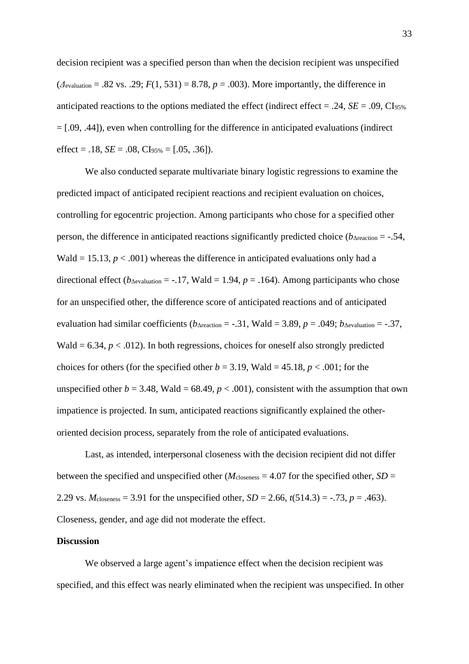decision recipient was a specified person than when the decision recipient was unspecified  $(A_{\text{evaluation}} = .82 \text{ vs. } .29; F(1, 531) = 8.78, p = .003)$ . More importantly, the difference in anticipated reactions to the options mediated the effect (indirect effect  $= .24$ ,  $SE = .09$ , Cl<sub>95%</sub> = [.09, .44]), even when controlling for the difference in anticipated evaluations (indirect effect =  $.18$ , *SE* =  $.08$ , CI<sub>95%</sub> =  $[.05, .36]$ ).

We also conducted separate multivariate binary logistic regressions to examine the predicted impact of anticipated recipient reactions and recipient evaluation on choices, controlling for egocentric projection. Among participants who chose for a specified other person, the difference in anticipated reactions significantly predicted choice ( $b_{\Delta_{\text{reaction}}} = -.54$ , Wald = 15.13,  $p < .001$ ) whereas the difference in anticipated evaluations only had a directional effect ( $b_{\text{Aevaluation}} = -.17$ , Wald = 1.94,  $p = .164$ ). Among participants who chose for an unspecified other, the difference score of anticipated reactions and of anticipated evaluation had similar coefficients ( $b_{\text{Areaction}} = -.31$ , Wald = 3.89,  $p = .049$ ;  $b_{\text{Aevaluation}} = -.37$ , Wald  $= 6.34, p < .012$ ). In both regressions, choices for oneself also strongly predicted choices for others (for the specified other  $b = 3.19$ , Wald = 45.18,  $p < .001$ ; for the unspecified other  $b = 3.48$ , Wald = 68.49,  $p < .001$ ), consistent with the assumption that own impatience is projected. In sum, anticipated reactions significantly explained the otheroriented decision process, separately from the role of anticipated evaluations.

Last, as intended, interpersonal closeness with the decision recipient did not differ between the specified and unspecified other ( $M_{\text{closeness}} = 4.07$  for the specified other,  $SD =$ 2.29 vs.  $M_{\text{closeness}} = 3.91$  for the unspecified other,  $SD = 2.66$ ,  $t(514.3) = -.73$ ,  $p = .463$ ). Closeness, gender, and age did not moderate the effect.

# **Discussion**

We observed a large agent's impatience effect when the decision recipient was specified, and this effect was nearly eliminated when the recipient was unspecified. In other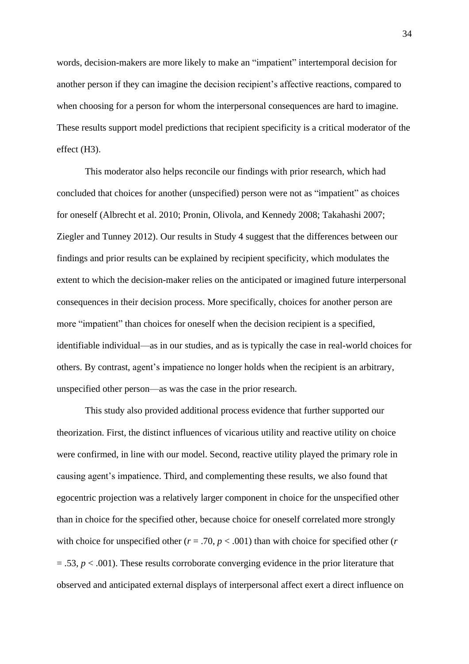words, decision-makers are more likely to make an "impatient" intertemporal decision for another person if they can imagine the decision recipient's affective reactions, compared to when choosing for a person for whom the interpersonal consequences are hard to imagine. These results support model predictions that recipient specificity is a critical moderator of the effect (H3).

This moderator also helps reconcile our findings with prior research, which had concluded that choices for another (unspecified) person were not as "impatient" as choices for oneself (Albrecht et al. 2010; Pronin, Olivola, and Kennedy 2008; Takahashi 2007; Ziegler and Tunney 2012). Our results in Study 4 suggest that the differences between our findings and prior results can be explained by recipient specificity, which modulates the extent to which the decision-maker relies on the anticipated or imagined future interpersonal consequences in their decision process. More specifically, choices for another person are more "impatient" than choices for oneself when the decision recipient is a specified, identifiable individual—as in our studies, and as is typically the case in real-world choices for others. By contrast, agent's impatience no longer holds when the recipient is an arbitrary, unspecified other person—as was the case in the prior research.

This study also provided additional process evidence that further supported our theorization. First, the distinct influences of vicarious utility and reactive utility on choice were confirmed, in line with our model. Second, reactive utility played the primary role in causing agent's impatience. Third, and complementing these results, we also found that egocentric projection was a relatively larger component in choice for the unspecified other than in choice for the specified other, because choice for oneself correlated more strongly with choice for unspecified other ( $r = .70$ ,  $p < .001$ ) than with choice for specified other ( $r = .70$ )  $= .53, p < .001$ ). These results corroborate converging evidence in the prior literature that observed and anticipated external displays of interpersonal affect exert a direct influence on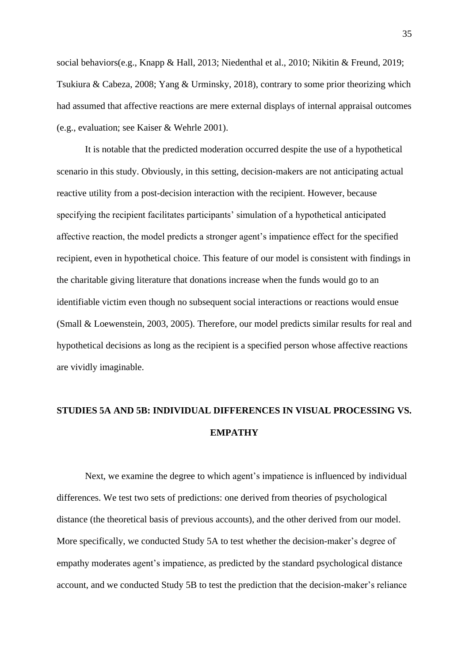social behaviors(e.g., Knapp & Hall, 2013; Niedenthal et al., 2010; Nikitin & Freund, 2019; Tsukiura & Cabeza, 2008; Yang & Urminsky, 2018), contrary to some prior theorizing which had assumed that affective reactions are mere external displays of internal appraisal outcomes (e.g., evaluation; see Kaiser & Wehrle 2001).

It is notable that the predicted moderation occurred despite the use of a hypothetical scenario in this study. Obviously, in this setting, decision-makers are not anticipating actual reactive utility from a post-decision interaction with the recipient. However, because specifying the recipient facilitates participants' simulation of a hypothetical anticipated affective reaction, the model predicts a stronger agent's impatience effect for the specified recipient, even in hypothetical choice. This feature of our model is consistent with findings in the charitable giving literature that donations increase when the funds would go to an identifiable victim even though no subsequent social interactions or reactions would ensue (Small & Loewenstein, 2003, 2005). Therefore, our model predicts similar results for real and hypothetical decisions as long as the recipient is a specified person whose affective reactions are vividly imaginable.

# **STUDIES 5A AND 5B: INDIVIDUAL DIFFERENCES IN VISUAL PROCESSING VS. EMPATHY**

Next, we examine the degree to which agent's impatience is influenced by individual differences. We test two sets of predictions: one derived from theories of psychological distance (the theoretical basis of previous accounts), and the other derived from our model. More specifically, we conducted Study 5A to test whether the decision-maker's degree of empathy moderates agent's impatience, as predicted by the standard psychological distance account, and we conducted Study 5B to test the prediction that the decision-maker's reliance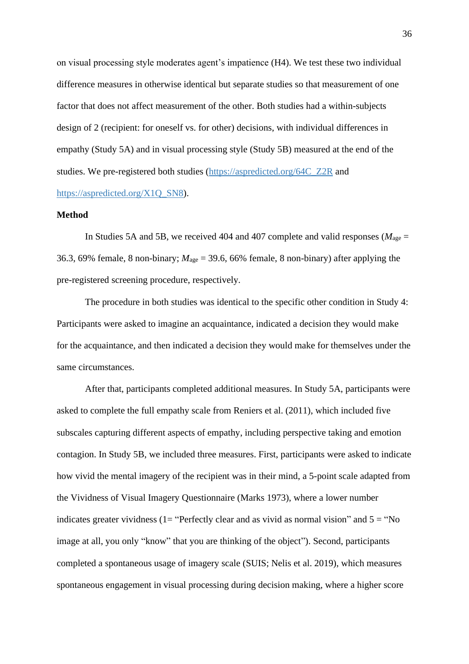on visual processing style moderates agent's impatience (H4). We test these two individual difference measures in otherwise identical but separate studies so that measurement of one factor that does not affect measurement of the other. Both studies had a within-subjects design of 2 (recipient: for oneself vs. for other) decisions, with individual differences in empathy (Study 5A) and in visual processing style (Study 5B) measured at the end of the studies. We pre-registered both studies [\(https://aspredicted.org/64C\\_Z2R](https://aspredicted.org/64C_Z2R) and [https://aspredicted.org/X1Q\\_SN8\)](https://aspredicted.org/X1Q_SN8).

#### **Method**

In Studies 5A and 5B, we received 404 and 407 complete and valid responses ( $M_{\text{age}} =$ 36.3, 69% female, 8 non-binary;  $M_{\text{age}} = 39.6$ , 66% female, 8 non-binary) after applying the pre-registered screening procedure, respectively.

The procedure in both studies was identical to the specific other condition in Study 4: Participants were asked to imagine an acquaintance, indicated a decision they would make for the acquaintance, and then indicated a decision they would make for themselves under the same circumstances.

After that, participants completed additional measures. In Study 5A, participants were asked to complete the full empathy scale from Reniers et al. (2011), which included five subscales capturing different aspects of empathy, including perspective taking and emotion contagion. In Study 5B, we included three measures. First, participants were asked to indicate how vivid the mental imagery of the recipient was in their mind, a 5-point scale adapted from the Vividness of Visual Imagery Questionnaire (Marks 1973), where a lower number indicates greater vividness (1= "Perfectly clear and as vivid as normal vision" and  $5 =$  "No image at all, you only "know" that you are thinking of the object"). Second, participants completed a spontaneous usage of imagery scale (SUIS; Nelis et al. 2019), which measures spontaneous engagement in visual processing during decision making, where a higher score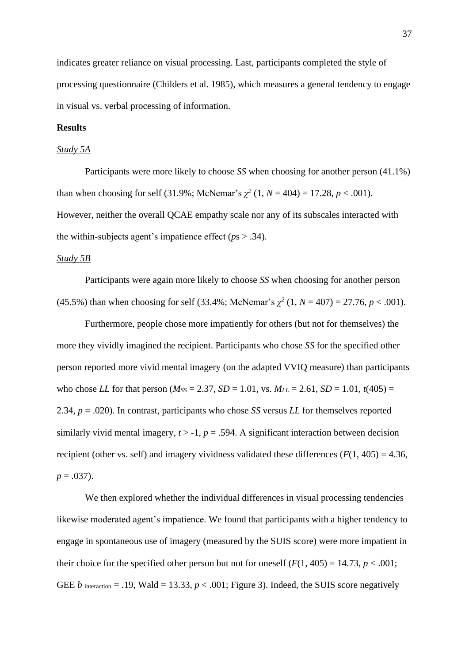indicates greater reliance on visual processing. Last, participants completed the style of processing questionnaire (Childers et al. 1985), which measures a general tendency to engage in visual vs. verbal processing of information.

#### **Results**

#### *Study 5A*

Participants were more likely to choose *SS* when choosing for another person (41.1%) than when choosing for self (31.9%; McNemar's  $\chi^2$  (1,  $N = 404$ ) = 17.28,  $p < .001$ ). However, neither the overall QCAE empathy scale nor any of its subscales interacted with the within-subjects agent's impatience effect (*p*s > .34).

#### *Study 5B*

Participants were again more likely to choose *SS* when choosing for another person (45.5%) than when choosing for self (33.4%; McNemar's  $\chi^2$  (1,  $N = 407$ ) = 27.76,  $p < .001$ ).

Furthermore, people chose more impatiently for others (but not for themselves) the more they vividly imagined the recipient. Participants who chose *SS* for the specified other person reported more vivid mental imagery (on the adapted VVIQ measure) than participants who chose *LL* for that person ( $M_{SS} = 2.37$ ,  $SD = 1.01$ , vs.  $M_{LL} = 2.61$ ,  $SD = 1.01$ ,  $t(405) =$ 2.34, *p* = .020). In contrast, participants who chose *SS* versus *LL* for themselves reported similarly vivid mental imagery,  $t > -1$ ,  $p = .594$ . A significant interaction between decision recipient (other vs. self) and imagery vividness validated these differences  $(F(1, 405) = 4.36$ ,  $p = .037$ ).

We then explored whether the individual differences in visual processing tendencies likewise moderated agent's impatience. We found that participants with a higher tendency to engage in spontaneous use of imagery (measured by the SUIS score) were more impatient in their choice for the specified other person but not for oneself  $(F(1, 405) = 14.73, p < .001;$ GEE *b* interaction = .19, Wald = 13.33,  $p < .001$ ; Figure 3). Indeed, the SUIS score negatively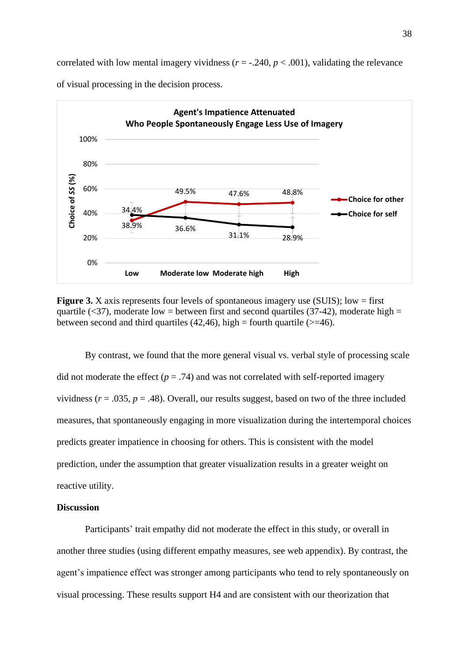correlated with low mental imagery vividness ( $r = -0.240$ ,  $p < 0.001$ ), validating the relevance



of visual processing in the decision process.

**Figure 3.** X axis represents four levels of spontaneous imagery use (SUIS); low = first quartile ( $\langle 37 \rangle$ , moderate low = between first and second quartiles (37-42), moderate high = between second and third quartiles (42,46), high = fourth quartile ( $> = 46$ ).

By contrast, we found that the more general visual vs. verbal style of processing scale did not moderate the effect  $(p = .74)$  and was not correlated with self-reported imagery vividness ( $r = .035$ ,  $p = .48$ ). Overall, our results suggest, based on two of the three included measures, that spontaneously engaging in more visualization during the intertemporal choices predicts greater impatience in choosing for others. This is consistent with the model prediction, under the assumption that greater visualization results in a greater weight on reactive utility.

# **Discussion**

Participants' trait empathy did not moderate the effect in this study, or overall in another three studies (using different empathy measures, see web appendix). By contrast, the agent's impatience effect was stronger among participants who tend to rely spontaneously on visual processing. These results support H4 and are consistent with our theorization that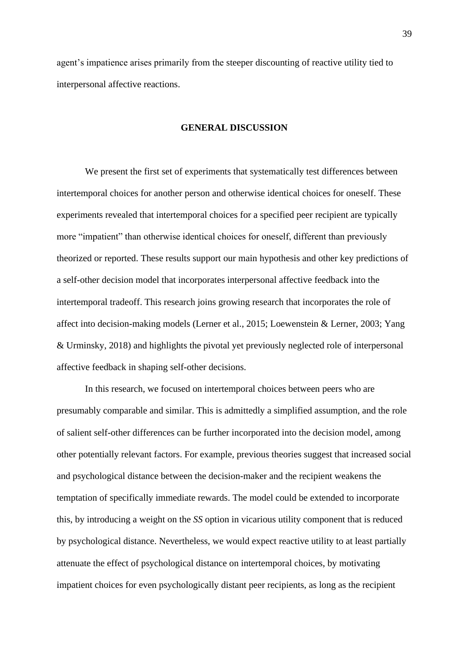agent's impatience arises primarily from the steeper discounting of reactive utility tied to interpersonal affective reactions.

# **GENERAL DISCUSSION**

We present the first set of experiments that systematically test differences between intertemporal choices for another person and otherwise identical choices for oneself. These experiments revealed that intertemporal choices for a specified peer recipient are typically more "impatient" than otherwise identical choices for oneself, different than previously theorized or reported. These results support our main hypothesis and other key predictions of a self-other decision model that incorporates interpersonal affective feedback into the intertemporal tradeoff. This research joins growing research that incorporates the role of affect into decision-making models (Lerner et al., 2015; Loewenstein & Lerner, 2003; Yang & Urminsky, 2018) and highlights the pivotal yet previously neglected role of interpersonal affective feedback in shaping self-other decisions.

In this research, we focused on intertemporal choices between peers who are presumably comparable and similar. This is admittedly a simplified assumption, and the role of salient self-other differences can be further incorporated into the decision model, among other potentially relevant factors. For example, previous theories suggest that increased social and psychological distance between the decision-maker and the recipient weakens the temptation of specifically immediate rewards. The model could be extended to incorporate this, by introducing a weight on the *SS* option in vicarious utility component that is reduced by psychological distance. Nevertheless, we would expect reactive utility to at least partially attenuate the effect of psychological distance on intertemporal choices, by motivating impatient choices for even psychologically distant peer recipients, as long as the recipient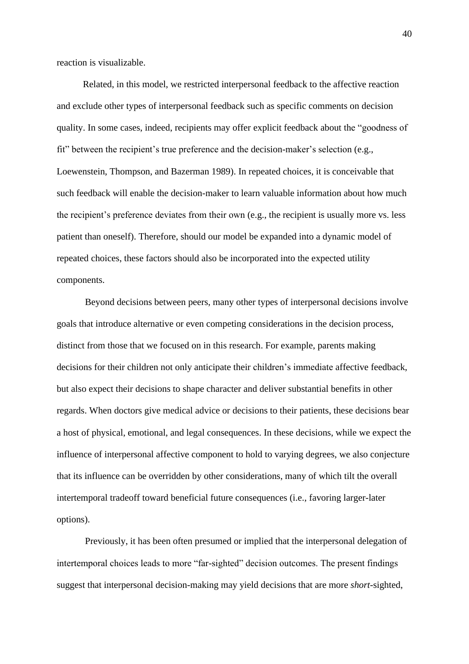reaction is visualizable.

 Related, in this model, we restricted interpersonal feedback to the affective reaction and exclude other types of interpersonal feedback such as specific comments on decision quality. In some cases, indeed, recipients may offer explicit feedback about the "goodness of fit" between the recipient's true preference and the decision-maker's selection (e.g., Loewenstein, Thompson, and Bazerman 1989). In repeated choices, it is conceivable that such feedback will enable the decision-maker to learn valuable information about how much the recipient's preference deviates from their own (e.g., the recipient is usually more vs. less patient than oneself). Therefore, should our model be expanded into a dynamic model of repeated choices, these factors should also be incorporated into the expected utility components.

Beyond decisions between peers, many other types of interpersonal decisions involve goals that introduce alternative or even competing considerations in the decision process, distinct from those that we focused on in this research. For example, parents making decisions for their children not only anticipate their children's immediate affective feedback, but also expect their decisions to shape character and deliver substantial benefits in other regards. When doctors give medical advice or decisions to their patients, these decisions bear a host of physical, emotional, and legal consequences. In these decisions, while we expect the influence of interpersonal affective component to hold to varying degrees, we also conjecture that its influence can be overridden by other considerations, many of which tilt the overall intertemporal tradeoff toward beneficial future consequences (i.e., favoring larger-later options).

Previously, it has been often presumed or implied that the interpersonal delegation of intertemporal choices leads to more "far-sighted" decision outcomes. The present findings suggest that interpersonal decision-making may yield decisions that are more *short*-sighted,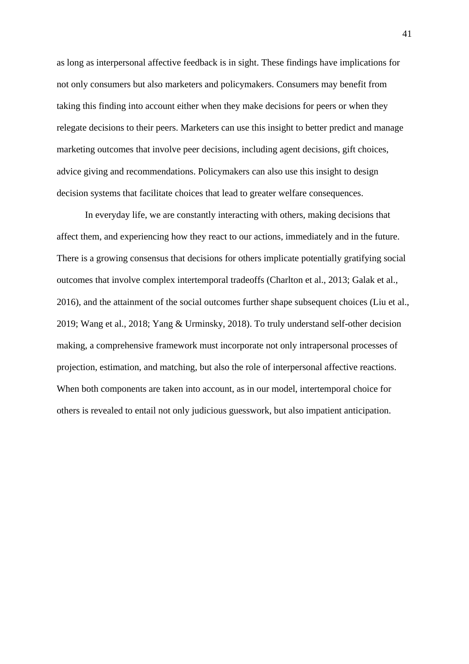as long as interpersonal affective feedback is in sight. These findings have implications for not only consumers but also marketers and policymakers. Consumers may benefit from taking this finding into account either when they make decisions for peers or when they relegate decisions to their peers. Marketers can use this insight to better predict and manage marketing outcomes that involve peer decisions, including agent decisions, gift choices, advice giving and recommendations. Policymakers can also use this insight to design decision systems that facilitate choices that lead to greater welfare consequences.

In everyday life, we are constantly interacting with others, making decisions that affect them, and experiencing how they react to our actions, immediately and in the future. There is a growing consensus that decisions for others implicate potentially gratifying social outcomes that involve complex intertemporal tradeoffs (Charlton et al., 2013; Galak et al., 2016), and the attainment of the social outcomes further shape subsequent choices (Liu et al., 2019; Wang et al., 2018; Yang & Urminsky, 2018). To truly understand self-other decision making, a comprehensive framework must incorporate not only intrapersonal processes of projection, estimation, and matching, but also the role of interpersonal affective reactions. When both components are taken into account, as in our model, intertemporal choice for others is revealed to entail not only judicious guesswork, but also impatient anticipation.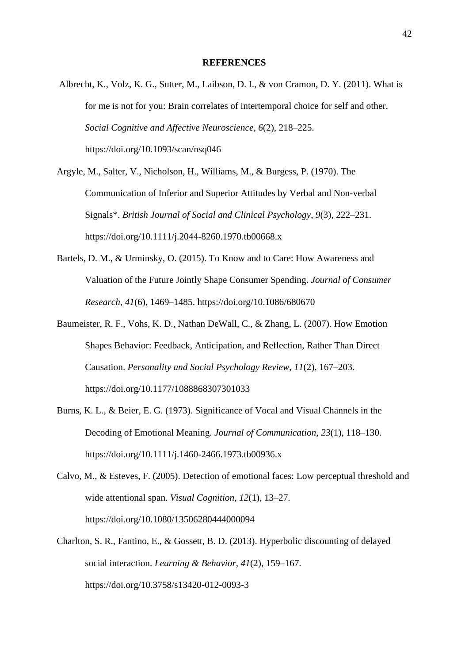#### **REFERENCES**

Albrecht, K., Volz, K. G., Sutter, M., Laibson, D. I., & von Cramon, D. Y. (2011). What is for me is not for you: Brain correlates of intertemporal choice for self and other. *Social Cognitive and Affective Neuroscience*, *6*(2), 218–225.

https://doi.org/10.1093/scan/nsq046

Argyle, M., Salter, V., Nicholson, H., Williams, M., & Burgess, P. (1970). The Communication of Inferior and Superior Attitudes by Verbal and Non-verbal Signals\*. *British Journal of Social and Clinical Psychology*, *9*(3), 222–231. https://doi.org/10.1111/j.2044-8260.1970.tb00668.x

- Bartels, D. M., & Urminsky, O. (2015). To Know and to Care: How Awareness and Valuation of the Future Jointly Shape Consumer Spending. *Journal of Consumer Research*, *41*(6), 1469–1485. https://doi.org/10.1086/680670
- Baumeister, R. F., Vohs, K. D., Nathan DeWall, C., & Zhang, L. (2007). How Emotion Shapes Behavior: Feedback, Anticipation, and Reflection, Rather Than Direct Causation. *Personality and Social Psychology Review*, *11*(2), 167–203. https://doi.org/10.1177/1088868307301033
- Burns, K. L., & Beier, E. G. (1973). Significance of Vocal and Visual Channels in the Decoding of Emotional Meaning. *Journal of Communication*, *23*(1), 118–130. https://doi.org/10.1111/j.1460-2466.1973.tb00936.x
- Calvo, M., & Esteves, F. (2005). Detection of emotional faces: Low perceptual threshold and wide attentional span. *Visual Cognition*, *12*(1), 13–27. https://doi.org/10.1080/13506280444000094
- Charlton, S. R., Fantino, E., & Gossett, B. D. (2013). Hyperbolic discounting of delayed social interaction. *Learning & Behavior*, *41*(2), 159–167. https://doi.org/10.3758/s13420-012-0093-3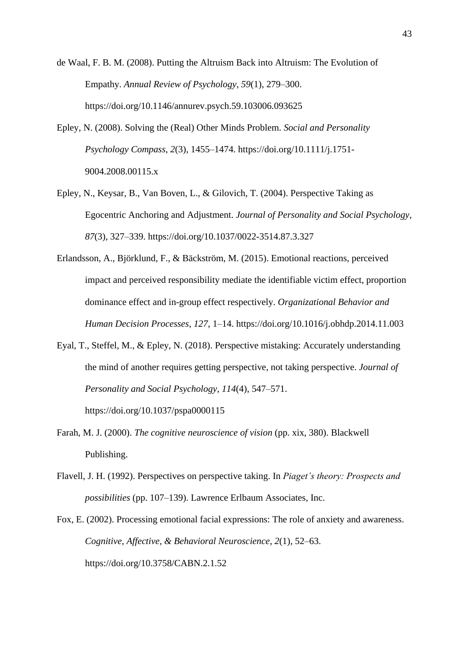de Waal, F. B. M. (2008). Putting the Altruism Back into Altruism: The Evolution of Empathy. *Annual Review of Psychology*, *59*(1), 279–300. https://doi.org/10.1146/annurev.psych.59.103006.093625

- Epley, N. (2008). Solving the (Real) Other Minds Problem. *Social and Personality Psychology Compass*, *2*(3), 1455–1474. https://doi.org/10.1111/j.1751- 9004.2008.00115.x
- Epley, N., Keysar, B., Van Boven, L., & Gilovich, T. (2004). Perspective Taking as Egocentric Anchoring and Adjustment. *Journal of Personality and Social Psychology*, *87*(3), 327–339. https://doi.org/10.1037/0022-3514.87.3.327
- Erlandsson, A., Björklund, F., & Bäckström, M. (2015). Emotional reactions, perceived impact and perceived responsibility mediate the identifiable victim effect, proportion dominance effect and in-group effect respectively. *Organizational Behavior and Human Decision Processes*, *127*, 1–14. https://doi.org/10.1016/j.obhdp.2014.11.003
- Eyal, T., Steffel, M., & Epley, N. (2018). Perspective mistaking: Accurately understanding the mind of another requires getting perspective, not taking perspective. *Journal of Personality and Social Psychology*, *114*(4), 547–571.

https://doi.org/10.1037/pspa0000115

- Farah, M. J. (2000). *The cognitive neuroscience of vision* (pp. xix, 380). Blackwell Publishing.
- Flavell, J. H. (1992). Perspectives on perspective taking. In *Piaget's theory: Prospects and possibilities* (pp. 107–139). Lawrence Erlbaum Associates, Inc.
- Fox, E. (2002). Processing emotional facial expressions: The role of anxiety and awareness. *Cognitive, Affective, & Behavioral Neuroscience*, *2*(1), 52–63. https://doi.org/10.3758/CABN.2.1.52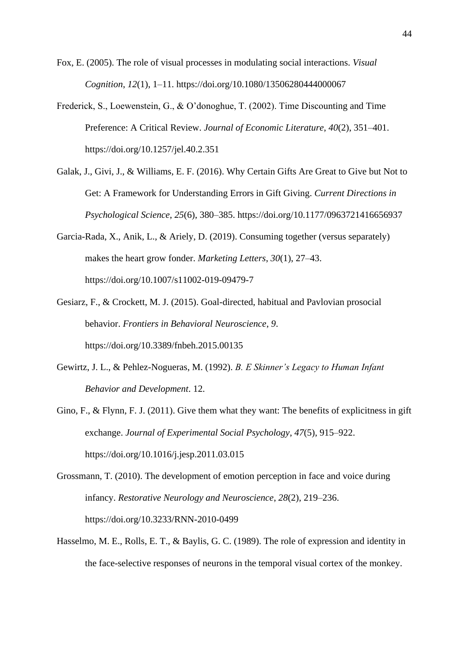Fox, E. (2005). The role of visual processes in modulating social interactions. *Visual Cognition*, *12*(1), 1–11. https://doi.org/10.1080/13506280444000067

- Frederick, S., Loewenstein, G., & O'donoghue, T. (2002). Time Discounting and Time Preference: A Critical Review. *Journal of Economic Literature*, *40*(2), 351–401. https://doi.org/10.1257/jel.40.2.351
- Galak, J., Givi, J., & Williams, E. F. (2016). Why Certain Gifts Are Great to Give but Not to Get: A Framework for Understanding Errors in Gift Giving. *Current Directions in Psychological Science*, *25*(6), 380–385. https://doi.org/10.1177/0963721416656937
- Garcia-Rada, X., Anik, L., & Ariely, D. (2019). Consuming together (versus separately) makes the heart grow fonder. *Marketing Letters*, *30*(1), 27–43. https://doi.org/10.1007/s11002-019-09479-7
- Gesiarz, F., & Crockett, M. J. (2015). Goal-directed, habitual and Pavlovian prosocial behavior. *Frontiers in Behavioral Neuroscience*, *9*. https://doi.org/10.3389/fnbeh.2015.00135
- Gewirtz, J. L., & Pehlez-Nogueras, M. (1992). *B. E Skinner's Legacy to Human Infant Behavior and Development*. 12.
- Gino, F., & Flynn, F. J. (2011). Give them what they want: The benefits of explicitness in gift exchange. *Journal of Experimental Social Psychology*, *47*(5), 915–922. https://doi.org/10.1016/j.jesp.2011.03.015
- Grossmann, T. (2010). The development of emotion perception in face and voice during infancy. *Restorative Neurology and Neuroscience*, *28*(2), 219–236. https://doi.org/10.3233/RNN-2010-0499
- Hasselmo, M. E., Rolls, E. T., & Baylis, G. C. (1989). The role of expression and identity in the face-selective responses of neurons in the temporal visual cortex of the monkey.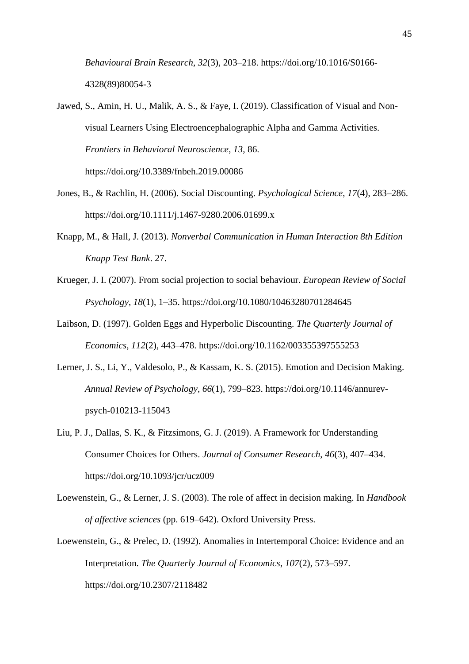*Behavioural Brain Research*, *32*(3), 203–218. https://doi.org/10.1016/S0166- 4328(89)80054-3

- Jawed, S., Amin, H. U., Malik, A. S., & Faye, I. (2019). Classification of Visual and Nonvisual Learners Using Electroencephalographic Alpha and Gamma Activities. *Frontiers in Behavioral Neuroscience*, *13*, 86. https://doi.org/10.3389/fnbeh.2019.00086
- Jones, B., & Rachlin, H. (2006). Social Discounting. *Psychological Science*, *17*(4), 283–286. https://doi.org/10.1111/j.1467-9280.2006.01699.x
- Knapp, M., & Hall, J. (2013). *Nonverbal Communication in Human Interaction 8th Edition Knapp Test Bank*. 27.
- Krueger, J. I. (2007). From social projection to social behaviour. *European Review of Social Psychology*, *18*(1), 1–35. https://doi.org/10.1080/10463280701284645
- Laibson, D. (1997). Golden Eggs and Hyperbolic Discounting. *The Quarterly Journal of Economics*, *112*(2), 443–478. https://doi.org/10.1162/003355397555253
- Lerner, J. S., Li, Y., Valdesolo, P., & Kassam, K. S. (2015). Emotion and Decision Making. *Annual Review of Psychology*, *66*(1), 799–823. https://doi.org/10.1146/annurevpsych-010213-115043
- Liu, P. J., Dallas, S. K., & Fitzsimons, G. J. (2019). A Framework for Understanding Consumer Choices for Others. *Journal of Consumer Research*, *46*(3), 407–434. https://doi.org/10.1093/jcr/ucz009
- Loewenstein, G., & Lerner, J. S. (2003). The role of affect in decision making. In *Handbook of affective sciences* (pp. 619–642). Oxford University Press.
- Loewenstein, G., & Prelec, D. (1992). Anomalies in Intertemporal Choice: Evidence and an Interpretation. *The Quarterly Journal of Economics*, *107*(2), 573–597. https://doi.org/10.2307/2118482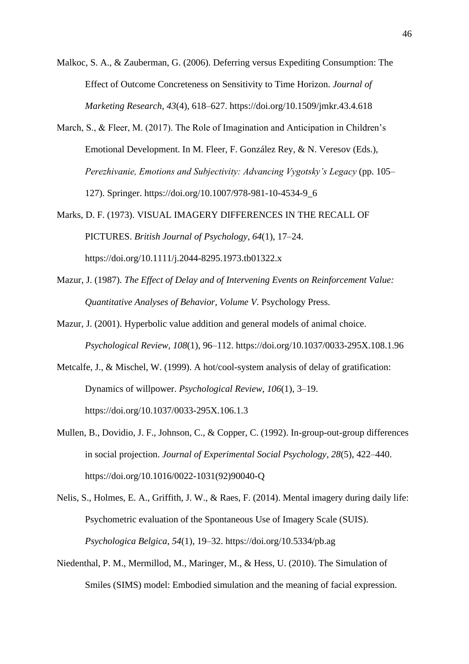Malkoc, S. A., & Zauberman, G. (2006). Deferring versus Expediting Consumption: The Effect of Outcome Concreteness on Sensitivity to Time Horizon. *Journal of Marketing Research*, *43*(4), 618–627. https://doi.org/10.1509/jmkr.43.4.618

- March, S., & Fleer, M. (2017). The Role of Imagination and Anticipation in Children's Emotional Development. In M. Fleer, F. González Rey, & N. Veresov (Eds.), *Perezhivanie, Emotions and Subjectivity: Advancing Vygotsky's Legacy* (pp. 105– 127). Springer. https://doi.org/10.1007/978-981-10-4534-9\_6
- Marks, D. F. (1973). VISUAL IMAGERY DIFFERENCES IN THE RECALL OF PICTURES. *British Journal of Psychology*, *64*(1), 17–24. https://doi.org/10.1111/j.2044-8295.1973.tb01322.x
- Mazur, J. (1987). *The Effect of Delay and of Intervening Events on Reinforcement Value: Quantitative Analyses of Behavior, Volume V*. Psychology Press.
- Mazur, J. (2001). Hyperbolic value addition and general models of animal choice. *Psychological Review*, *108*(1), 96–112. https://doi.org/10.1037/0033-295X.108.1.96
- Metcalfe, J., & Mischel, W. (1999). A hot/cool-system analysis of delay of gratification: Dynamics of willpower. *Psychological Review*, *106*(1), 3–19. https://doi.org/10.1037/0033-295X.106.1.3
- Mullen, B., Dovidio, J. F., Johnson, C., & Copper, C. (1992). In-group-out-group differences in social projection. *Journal of Experimental Social Psychology*, *28*(5), 422–440. https://doi.org/10.1016/0022-1031(92)90040-Q
- Nelis, S., Holmes, E. A., Griffith, J. W., & Raes, F. (2014). Mental imagery during daily life: Psychometric evaluation of the Spontaneous Use of Imagery Scale (SUIS). *Psychologica Belgica*, *54*(1), 19–32. https://doi.org/10.5334/pb.ag
- Niedenthal, P. M., Mermillod, M., Maringer, M., & Hess, U. (2010). The Simulation of Smiles (SIMS) model: Embodied simulation and the meaning of facial expression.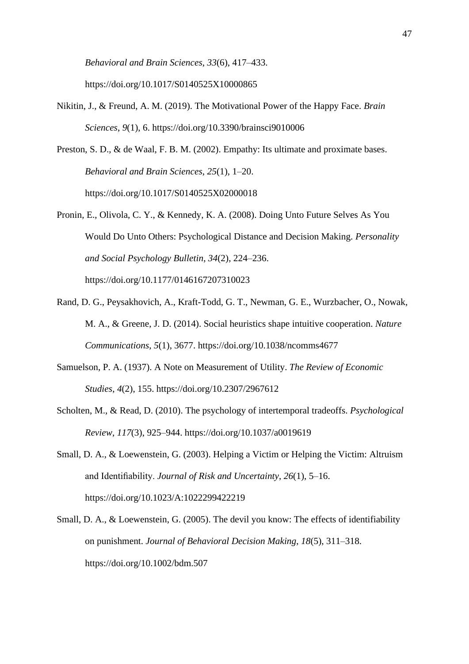*Behavioral and Brain Sciences*, *33*(6), 417–433. https://doi.org/10.1017/S0140525X10000865

- Nikitin, J., & Freund, A. M. (2019). The Motivational Power of the Happy Face. *Brain Sciences*, *9*(1), 6. https://doi.org/10.3390/brainsci9010006
- Preston, S. D., & de Waal, F. B. M. (2002). Empathy: Its ultimate and proximate bases. *Behavioral and Brain Sciences*, *25*(1), 1–20. https://doi.org/10.1017/S0140525X02000018
- Pronin, E., Olivola, C. Y., & Kennedy, K. A. (2008). Doing Unto Future Selves As You Would Do Unto Others: Psychological Distance and Decision Making. *Personality and Social Psychology Bulletin*, *34*(2), 224–236. https://doi.org/10.1177/0146167207310023
- Rand, D. G., Peysakhovich, A., Kraft-Todd, G. T., Newman, G. E., Wurzbacher, O., Nowak, M. A., & Greene, J. D. (2014). Social heuristics shape intuitive cooperation. *Nature Communications*, *5*(1), 3677. https://doi.org/10.1038/ncomms4677
- Samuelson, P. A. (1937). A Note on Measurement of Utility. *The Review of Economic Studies*, *4*(2), 155. https://doi.org/10.2307/2967612
- Scholten, M., & Read, D. (2010). The psychology of intertemporal tradeoffs. *Psychological Review*, *117*(3), 925–944. https://doi.org/10.1037/a0019619
- Small, D. A., & Loewenstein, G. (2003). Helping a Victim or Helping the Victim: Altruism and Identifiability. *Journal of Risk and Uncertainty*, *26*(1), 5–16. https://doi.org/10.1023/A:1022299422219
- Small, D. A., & Loewenstein, G. (2005). The devil you know: The effects of identifiability on punishment. *Journal of Behavioral Decision Making*, *18*(5), 311–318. https://doi.org/10.1002/bdm.507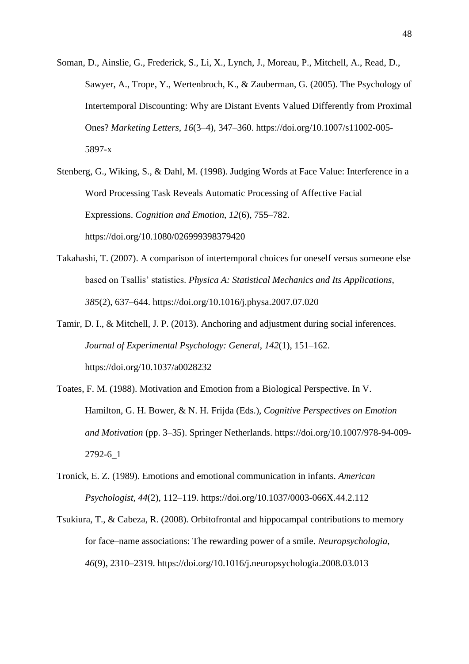- Soman, D., Ainslie, G., Frederick, S., Li, X., Lynch, J., Moreau, P., Mitchell, A., Read, D., Sawyer, A., Trope, Y., Wertenbroch, K., & Zauberman, G. (2005). The Psychology of Intertemporal Discounting: Why are Distant Events Valued Differently from Proximal Ones? *Marketing Letters*, *16*(3–4), 347–360. https://doi.org/10.1007/s11002-005- 5897-x
- Stenberg, G., Wiking, S., & Dahl, M. (1998). Judging Words at Face Value: Interference in a Word Processing Task Reveals Automatic Processing of Affective Facial Expressions. *Cognition and Emotion*, *12*(6), 755–782. https://doi.org/10.1080/026999398379420
- Takahashi, T. (2007). A comparison of intertemporal choices for oneself versus someone else based on Tsallis' statistics. *Physica A: Statistical Mechanics and Its Applications*, *385*(2), 637–644. https://doi.org/10.1016/j.physa.2007.07.020
- Tamir, D. I., & Mitchell, J. P. (2013). Anchoring and adjustment during social inferences. *Journal of Experimental Psychology: General*, *142*(1), 151–162. https://doi.org/10.1037/a0028232
- Toates, F. M. (1988). Motivation and Emotion from a Biological Perspective. In V. Hamilton, G. H. Bower, & N. H. Frijda (Eds.), *Cognitive Perspectives on Emotion and Motivation* (pp. 3–35). Springer Netherlands. https://doi.org/10.1007/978-94-009- 2792-6\_1
- Tronick, E. Z. (1989). Emotions and emotional communication in infants. *American Psychologist*, *44*(2), 112–119. https://doi.org/10.1037/0003-066X.44.2.112
- Tsukiura, T., & Cabeza, R. (2008). Orbitofrontal and hippocampal contributions to memory for face–name associations: The rewarding power of a smile. *Neuropsychologia*, *46*(9), 2310–2319. https://doi.org/10.1016/j.neuropsychologia.2008.03.013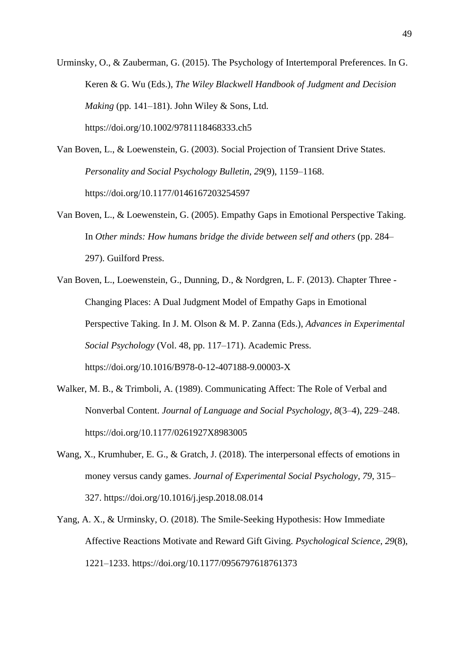Urminsky, O., & Zauberman, G. (2015). The Psychology of Intertemporal Preferences. In G. Keren & G. Wu (Eds.), *The Wiley Blackwell Handbook of Judgment and Decision Making* (pp. 141–181). John Wiley & Sons, Ltd. https://doi.org/10.1002/9781118468333.ch5

- Van Boven, L., & Loewenstein, G. (2003). Social Projection of Transient Drive States. *Personality and Social Psychology Bulletin*, *29*(9), 1159–1168. https://doi.org/10.1177/0146167203254597
- Van Boven, L., & Loewenstein, G. (2005). Empathy Gaps in Emotional Perspective Taking. In *Other minds: How humans bridge the divide between self and others* (pp. 284– 297). Guilford Press.
- Van Boven, L., Loewenstein, G., Dunning, D., & Nordgren, L. F. (2013). Chapter Three Changing Places: A Dual Judgment Model of Empathy Gaps in Emotional Perspective Taking. In J. M. Olson & M. P. Zanna (Eds.), *Advances in Experimental Social Psychology* (Vol. 48, pp. 117–171). Academic Press. https://doi.org/10.1016/B978-0-12-407188-9.00003-X
- Walker, M. B., & Trimboli, A. (1989). Communicating Affect: The Role of Verbal and Nonverbal Content. *Journal of Language and Social Psychology*, *8*(3–4), 229–248. https://doi.org/10.1177/0261927X8983005
- Wang, X., Krumhuber, E. G., & Gratch, J. (2018). The interpersonal effects of emotions in money versus candy games. *Journal of Experimental Social Psychology*, *79*, 315– 327. https://doi.org/10.1016/j.jesp.2018.08.014
- Yang, A. X., & Urminsky, O. (2018). The Smile-Seeking Hypothesis: How Immediate Affective Reactions Motivate and Reward Gift Giving. *Psychological Science*, *29*(8), 1221–1233. https://doi.org/10.1177/0956797618761373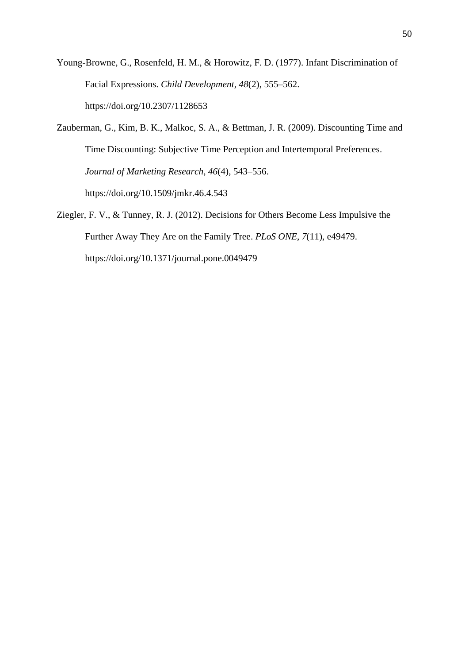Young-Browne, G., Rosenfeld, H. M., & Horowitz, F. D. (1977). Infant Discrimination of Facial Expressions. *Child Development*, *48*(2), 555–562. https://doi.org/10.2307/1128653

Zauberman, G., Kim, B. K., Malkoc, S. A., & Bettman, J. R. (2009). Discounting Time and Time Discounting: Subjective Time Perception and Intertemporal Preferences. *Journal of Marketing Research*, *46*(4), 543–556. https://doi.org/10.1509/jmkr.46.4.543

Ziegler, F. V., & Tunney, R. J. (2012). Decisions for Others Become Less Impulsive the Further Away They Are on the Family Tree. *PLoS ONE*, *7*(11), e49479. https://doi.org/10.1371/journal.pone.0049479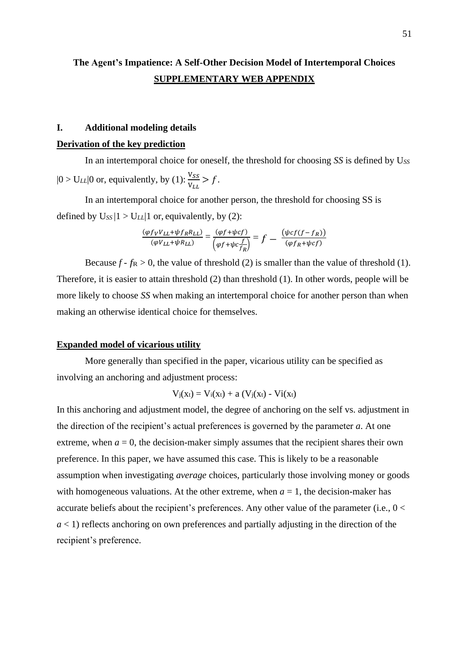# **The Agent's Impatience: A Self-Other Decision Model of Intertemporal Choices SUPPLEMENTARY WEB APPENDIX**

# **I. Additional modeling details**

#### **Derivation of the key prediction**

In an intertemporal choice for oneself, the threshold for choosing *SS* is defined by U*SS*  $|0 > U_{LL}|$  or, equivalently, by (1):  $\frac{V_{SS}}{V}$  $\frac{v_{SS}}{v_{LL}} > f$ .

In an intertemporal choice for another person, the threshold for choosing SS is defined by  $U_{SS}$  |1 >  $U_{LL}$ |1 or, equivalently, by (2):

$$
\frac{(\varphi f_V V_{LL} + \psi f_R R_{LL})}{(\varphi V_{LL} + \psi R_{LL})} = \frac{(\varphi f + \psi c f)}{(\varphi f + \psi c \frac{f}{f_R})} = f - \frac{(\psi c f (f - f_R))}{(\varphi f_R + \psi c f)}
$$

Because  $f - f_R > 0$ , the value of threshold (2) is smaller than the value of threshold (1). Therefore, it is easier to attain threshold (2) than threshold (1). In other words, people will be more likely to choose *SS* when making an intertemporal choice for another person than when making an otherwise identical choice for themselves.

#### **Expanded model of vicarious utility**

More generally than specified in the paper, vicarious utility can be specified as involving an anchoring and adjustment process:

$$
V_j(x_t) = V_i(x_t) + a (V_j(x_t) - Vi(x_t)
$$

In this anchoring and adjustment model, the degree of anchoring on the self vs. adjustment in the direction of the recipient's actual preferences is governed by the parameter *a*. At one extreme, when  $a = 0$ , the decision-maker simply assumes that the recipient shares their own preference. In this paper, we have assumed this case. This is likely to be a reasonable assumption when investigating *average* choices, particularly those involving money or goods with homogeneous valuations. At the other extreme, when  $a = 1$ , the decision-maker has accurate beliefs about the recipient's preferences. Any other value of the parameter (i.e., 0 < *a* < 1) reflects anchoring on own preferences and partially adjusting in the direction of the recipient's preference.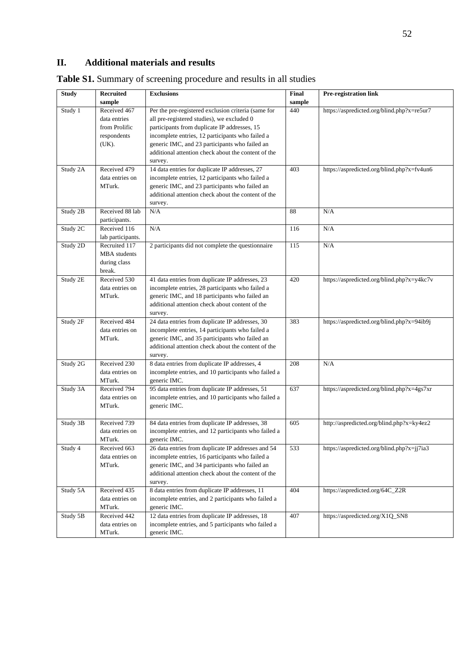# **II. Additional materials and results**

| <b>Study</b> | Recruited              | <b>Exclusions</b>                                              | Final         | Pre-registration link                      |
|--------------|------------------------|----------------------------------------------------------------|---------------|--------------------------------------------|
|              | sample<br>Received 467 |                                                                | sample<br>440 |                                            |
| Study 1      |                        | Per the pre-registered exclusion criteria (same for            |               | https://aspredicted.org/blind.php?x=re5ur7 |
|              | data entries           | all pre-registered studies), we excluded 0                     |               |                                            |
|              | from Prolific          | participants from duplicate IP addresses, 15                   |               |                                            |
|              | respondents            | incomplete entries, 12 participants who failed a               |               |                                            |
|              | (UK).                  | generic IMC, and 23 participants who failed an                 |               |                                            |
|              |                        | additional attention check about the content of the<br>survey. |               |                                            |
| Study 2A     | Received 479           | 14 data entries for duplicate IP addresses, 27                 | 403           | https://aspredicted.org/blind.php?x=fv4un6 |
|              | data entries on        | incomplete entries, 12 participants who failed a               |               |                                            |
|              | MTurk.                 | generic IMC, and 23 participants who failed an                 |               |                                            |
|              |                        | additional attention check about the content of the            |               |                                            |
|              |                        | survey.                                                        |               |                                            |
| Study 2B     | Received 88 lab        | N/A                                                            | 88            | N/A                                        |
|              | participants.          |                                                                |               |                                            |
| Study 2C     | Received 116           | N/A                                                            | 116           | N/A                                        |
|              | lab participants.      |                                                                |               |                                            |
| Study 2D     | Recruited 117          | 2 participants did not complete the questionnaire              | 115           | N/A                                        |
|              | MBA students           |                                                                |               |                                            |
|              | during class           |                                                                |               |                                            |
|              | break.                 |                                                                |               |                                            |
| Study 2E     | Received 530           | 41 data entries from duplicate IP addresses, 23                | 420           | https://aspredicted.org/blind.php?x=y4kc7v |
|              | data entries on        | incomplete entries, 28 participants who failed a               |               |                                            |
|              | MTurk.                 | generic IMC, and 18 participants who failed an                 |               |                                            |
|              |                        | additional attention check about content of the                |               |                                            |
|              |                        | survey.                                                        |               |                                            |
| Study 2F     | Received 484           | 24 data entries from duplicate IP addresses, 30                | 383           | https://aspredicted.org/blind.php?x=94ib9j |
|              | data entries on        | incomplete entries, 14 participants who failed a               |               |                                            |
|              | MTurk.                 | generic IMC, and 35 participants who failed an                 |               |                                            |
|              |                        | additional attention check about the content of the            |               |                                            |
|              |                        | survey.                                                        |               |                                            |
| Study 2G     | Received 230           | 8 data entries from duplicate IP addresses, 4                  | 208           | N/A                                        |
|              | data entries on        | incomplete entries, and 10 participants who failed a           |               |                                            |
|              | MTurk.                 | generic IMC.                                                   |               |                                            |
| Study 3A     | Received 794           | 95 data entries from duplicate IP addresses, 51                | 637           | https://aspredicted.org/blind.php?x=4gs7xr |
|              | data entries on        | incomplete entries, and 10 participants who failed a           |               |                                            |
|              | MTurk.                 | generic IMC.                                                   |               |                                            |
|              |                        |                                                                |               |                                            |
| Study 3B     | Received 739           | 84 data entries from duplicate IP addresses, 38                | 605           | http://aspredicted.org/blind.php?x=ky4ez2  |
|              | data entries on        | incomplete entries, and 12 participants who failed a           |               |                                            |
|              | MTurk.                 | generic IMC.                                                   |               |                                            |
| Study 4      | Received 663           | 26 data entries from duplicate IP addresses and 54             | 533           | https://aspredicted.org/blind.php?x=jj7ia3 |
|              | data entries on        | incomplete entries, 16 participants who failed a               |               |                                            |
|              | MTurk.                 | generic IMC, and 34 participants who failed an                 |               |                                            |
|              |                        | additional attention check about the content of the            |               |                                            |
|              |                        | survey.                                                        |               |                                            |
| Study 5A     | Received 435           | 8 data entries from duplicate IP addresses, 11                 | 404           | https://aspredicted.org/64C_Z2R            |
|              | data entries on        | incomplete entries, and 2 participants who failed a            |               |                                            |
|              | MTurk.                 | generic IMC.                                                   |               |                                            |
| Study 5B     | Received 442           | 12 data entries from duplicate IP addresses, 18                | 407           | https://aspredicted.org/X1Q_SN8            |
|              | data entries on        | incomplete entries, and 5 participants who failed a            |               |                                            |
|              | MTurk.                 | generic IMC.                                                   |               |                                            |

**Table S1.** Summary of screening procedure and results in all studies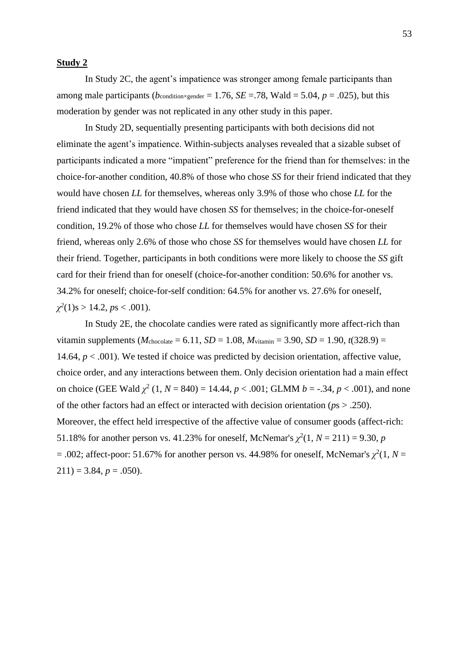#### **Study 2**

In Study 2C, the agent's impatience was stronger among female participants than among male participants ( $b_{\text{condition}\times\text{gender}} = 1.76$ ,  $SE = .78$ , Wald = 5.04,  $p = .025$ ), but this moderation by gender was not replicated in any other study in this paper.

In Study 2D, sequentially presenting participants with both decisions did not eliminate the agent's impatience. Within-subjects analyses revealed that a sizable subset of participants indicated a more "impatient" preference for the friend than for themselves: in the choice-for-another condition, 40.8% of those who chose *SS* for their friend indicated that they would have chosen *LL* for themselves, whereas only 3.9% of those who chose *LL* for the friend indicated that they would have chosen *SS* for themselves; in the choice-for-oneself condition, 19.2% of those who chose *LL* for themselves would have chosen *SS* for their friend, whereas only 2.6% of those who chose *SS* for themselves would have chosen *LL* for their friend. Together, participants in both conditions were more likely to choose the *SS* gift card for their friend than for oneself (choice-for-another condition: 50.6% for another vs. 34.2% for oneself; choice-for-self condition: 64.5% for another vs. 27.6% for oneself,  $\chi^2(1)$ s > 14.2, *ps* < .001).

In Study 2E, the chocolate candies were rated as significantly more affect-rich than vitamin supplements ( $M_{\text{chocolate}} = 6.11$ ,  $SD = 1.08$ ,  $M_{\text{vitamin}} = 3.90$ ,  $SD = 1.90$ ,  $t(328.9) =$ 14.64,  $p < .001$ ). We tested if choice was predicted by decision orientation, affective value, choice order, and any interactions between them. Only decision orientation had a main effect on choice (GEE Wald  $\chi^2$  (1, *N* = 840) = 14.44, *p* < .001; GLMM *b* = -.34, *p* < .001), and none of the other factors had an effect or interacted with decision orientation (*p*s > .250). Moreover, the effect held irrespective of the affective value of consumer goods (affect-rich: 51.18% for another person vs. 41.23% for oneself, McNemar's  $\chi^2(1, N = 211) = 9.30$ , *p*  $= .002$ ; affect-poor: 51.67% for another person vs. 44.98% for oneself, McNemar's  $\chi^2(1, N=$  $211$ ) = 3.84,  $p = .050$ ).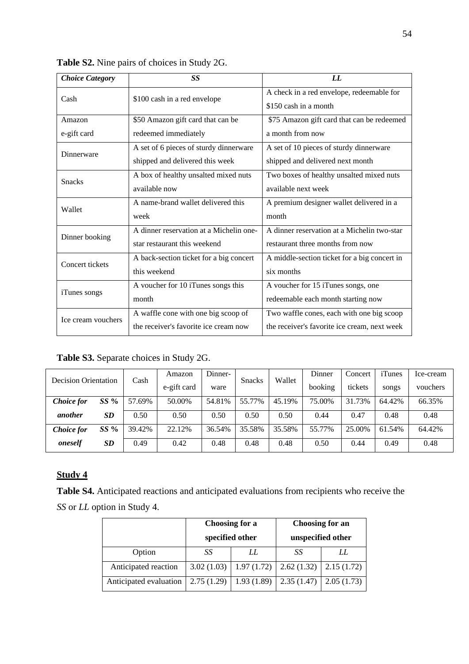| <b>Choice Category</b> | SS                                      | LL                                           |  |  |  |  |
|------------------------|-----------------------------------------|----------------------------------------------|--|--|--|--|
| Cash                   | \$100 cash in a red envelope            | A check in a red envelope, redeemable for    |  |  |  |  |
|                        |                                         | \$150 cash in a month                        |  |  |  |  |
| Amazon                 | \$50 Amazon gift card that can be       | \$75 Amazon gift card that can be redeemed   |  |  |  |  |
| e-gift card            | redeemed immediately                    | a month from now                             |  |  |  |  |
| Dinnerware             | A set of 6 pieces of sturdy dinnerware  | A set of 10 pieces of sturdy dinnerware      |  |  |  |  |
|                        | shipped and delivered this week         | shipped and delivered next month             |  |  |  |  |
| <b>Snacks</b>          | A box of healthy unsalted mixed nuts    | Two boxes of healthy unsalted mixed nuts     |  |  |  |  |
|                        | available now                           | available next week                          |  |  |  |  |
| Wallet                 | A name-brand wallet delivered this      | A premium designer wallet delivered in a     |  |  |  |  |
|                        | week                                    | month                                        |  |  |  |  |
| Dinner booking         | A dinner reservation at a Michelin one- | A dinner reservation at a Michelin two-star  |  |  |  |  |
|                        | star restaurant this weekend            | restaurant three months from now             |  |  |  |  |
| Concert tickets        | A back-section ticket for a big concert | A middle-section ticket for a big concert in |  |  |  |  |
|                        | this weekend                            | six months                                   |  |  |  |  |
| iTunes songs           | A voucher for 10 iTunes songs this      | A voucher for 15 iTunes songs, one           |  |  |  |  |
|                        | month                                   | redeemable each month starting now           |  |  |  |  |
| Ice cream vouchers     | A waffle cone with one big scoop of     | Two waffle cones, each with one big scoop    |  |  |  |  |
|                        | the receiver's favorite ice cream now   | the receiver's favorite ice cream, next week |  |  |  |  |

**Table S2.** Nine pairs of choices in Study 2G.

**Table S3.** Separate choices in Study 2G.

| <b>Decision Orientation</b> |           | Cash   | Amazon      | Dinner- | <b>Snacks</b> | Wallet | Dinner  | Concert | iTunes | Ice-cream |
|-----------------------------|-----------|--------|-------------|---------|---------------|--------|---------|---------|--------|-----------|
|                             |           |        | e-gift card | ware    |               |        | booking | tickets | songs  | vouchers  |
| <b>Choice</b> for           | $SS\%$    | 57.69% | 50.00%      | 54.81%  | 55.77%        | 45.19% | 75.00%  | 31.73%  | 64.42% | 66.35%    |
| another                     | <b>SD</b> | 0.50   | 0.50        | 0.50    | 0.50          | 0.50   | 0.44    | 0.47    | 0.48   | 0.48      |
| <b>Choice</b> for           | $SS\%$    | 39.42% | 22.12%      | 36.54%  | 35.58%        | 35.58% | 55.77%  | 25.00%  | 61.54% | 64.42%    |
| oneself                     | SD        | 0.49   | 0.42        | 0.48    | 0.48          | 0.48   | 0.50    | 0.44    | 0.49   | 0.48      |

# **Study 4**

**Table S4.** Anticipated reactions and anticipated evaluations from recipients who receive the *SS* or *LL* option in Study 4.

|                        |            | Choosing for a  | <b>Choosing for an</b> |            |  |  |
|------------------------|------------|-----------------|------------------------|------------|--|--|
|                        |            | specified other | unspecified other      |            |  |  |
| Option                 | SS         | LL              | SS                     | LL         |  |  |
| Anticipated reaction   | 3.02(1.03) | 1.97(1.72)      | 2.62(1.32)             | 2.15(1.72) |  |  |
| Anticipated evaluation | 2.75(1.29) | 1.93(1.89)      | 2.35(1.47)             | 2.05(1.73) |  |  |